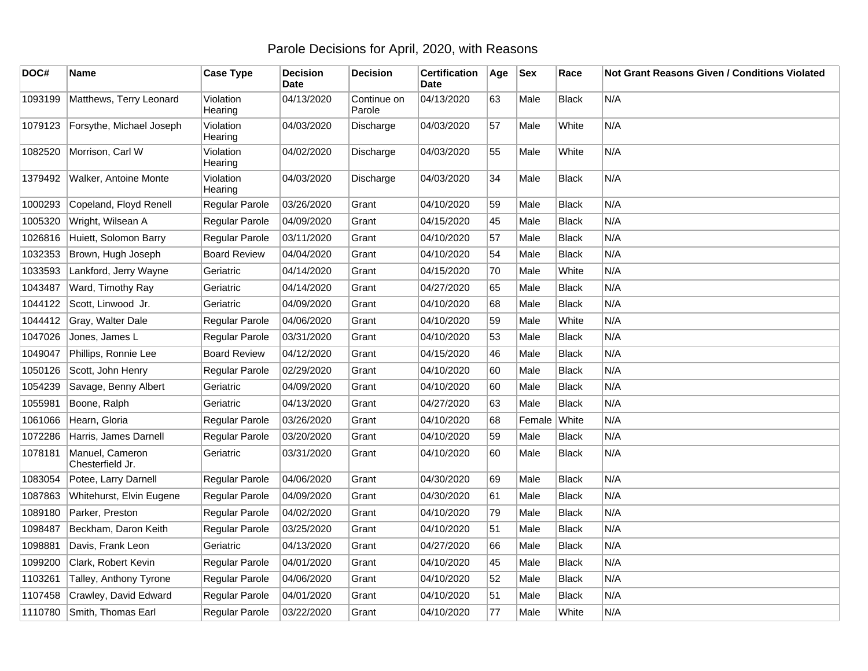## Parole Decisions for April, 2020, with Reasons

| DOC#    | Name                                | <b>Case Type</b>     | <b>Decision</b><br><b>Date</b> | <b>Decision</b>       | <b>Certification</b><br>Date | Age | <b>Sex</b> | Race         | Not Grant Reasons Given / Conditions Violated |
|---------|-------------------------------------|----------------------|--------------------------------|-----------------------|------------------------------|-----|------------|--------------|-----------------------------------------------|
| 1093199 | Matthews, Terry Leonard             | Violation<br>Hearing | 04/13/2020                     | Continue on<br>Parole | 04/13/2020                   | 63  | Male       | Black        | N/A                                           |
| 1079123 | Forsythe, Michael Joseph            | Violation<br>Hearing | 04/03/2020                     | Discharge             | 04/03/2020                   | 57  | Male       | White        | N/A                                           |
| 1082520 | Morrison, Carl W                    | Violation<br>Hearing | 04/02/2020                     | Discharge             | 04/03/2020                   | 55  | Male       | White        | N/A                                           |
| 1379492 | <b>Walker, Antoine Monte</b>        | Violation<br>Hearing | 04/03/2020                     | Discharge             | 04/03/2020                   | 34  | Male       | <b>Black</b> | N/A                                           |
| 1000293 | Copeland, Floyd Renell              | Regular Parole       | 03/26/2020                     | Grant                 | 04/10/2020                   | 59  | Male       | <b>Black</b> | N/A                                           |
| 1005320 | Wright, Wilsean A                   | Regular Parole       | 04/09/2020                     | Grant                 | 04/15/2020                   | 45  | Male       | <b>Black</b> | N/A                                           |
| 1026816 | Huiett, Solomon Barry               | Regular Parole       | 03/11/2020                     | Grant                 | 04/10/2020                   | 57  | Male       | <b>Black</b> | N/A                                           |
| 1032353 | Brown, Hugh Joseph                  | <b>Board Review</b>  | 04/04/2020                     | Grant                 | 04/10/2020                   | 54  | Male       | <b>Black</b> | N/A                                           |
| 1033593 | Lankford, Jerry Wayne               | Geriatric            | 04/14/2020                     | Grant                 | 04/15/2020                   | 70  | Male       | White        | N/A                                           |
| 1043487 | Ward, Timothy Ray                   | Geriatric            | 04/14/2020                     | Grant                 | 04/27/2020                   | 65  | Male       | <b>Black</b> | N/A                                           |
| 1044122 | Scott, Linwood Jr.                  | Geriatric            | 04/09/2020                     | Grant                 | 04/10/2020                   | 68  | Male       | <b>Black</b> | N/A                                           |
| 1044412 | Gray, Walter Dale                   | Regular Parole       | 04/06/2020                     | Grant                 | 04/10/2020                   | 59  | Male       | White        | N/A                                           |
| 1047026 | Jones, James L                      | Regular Parole       | 03/31/2020                     | Grant                 | 04/10/2020                   | 53  | Male       | <b>Black</b> | N/A                                           |
| 1049047 | Phillips, Ronnie Lee                | <b>Board Review</b>  | 04/12/2020                     | Grant                 | 04/15/2020                   | 46  | Male       | <b>Black</b> | N/A                                           |
| 1050126 | Scott, John Henry                   | Regular Parole       | 02/29/2020                     | Grant                 | 04/10/2020                   | 60  | Male       | <b>Black</b> | N/A                                           |
| 1054239 | Savage, Benny Albert                | Geriatric            | 04/09/2020                     | Grant                 | 04/10/2020                   | 60  | Male       | <b>Black</b> | N/A                                           |
| 1055981 | Boone, Ralph                        | Geriatric            | 04/13/2020                     | Grant                 | 04/27/2020                   | 63  | Male       | Black        | N/A                                           |
| 1061066 | Hearn, Gloria                       | Regular Parole       | 03/26/2020                     | Grant                 | 04/10/2020                   | 68  | Female     | White        | N/A                                           |
| 1072286 | Harris, James Darnell               | Regular Parole       | 03/20/2020                     | Grant                 | 04/10/2020                   | 59  | Male       | <b>Black</b> | N/A                                           |
| 1078181 | Manuel, Cameron<br>Chesterfield Jr. | Geriatric            | 03/31/2020                     | Grant                 | 04/10/2020                   | 60  | Male       | <b>Black</b> | N/A                                           |
| 1083054 | Potee, Larry Darnell                | Regular Parole       | 04/06/2020                     | Grant                 | 04/30/2020                   | 69  | Male       | <b>Black</b> | N/A                                           |
| 1087863 | Whitehurst, Elvin Eugene            | Regular Parole       | 04/09/2020                     | Grant                 | 04/30/2020                   | 61  | Male       | <b>Black</b> | N/A                                           |
| 1089180 | Parker, Preston                     | Regular Parole       | 04/02/2020                     | Grant                 | 04/10/2020                   | 79  | Male       | <b>Black</b> | N/A                                           |
| 1098487 | Beckham, Daron Keith                | Regular Parole       | 03/25/2020                     | Grant                 | 04/10/2020                   | 51  | Male       | <b>Black</b> | N/A                                           |
| 1098881 | Davis, Frank Leon                   | Geriatric            | 04/13/2020                     | Grant                 | 04/27/2020                   | 66  | Male       | <b>Black</b> | N/A                                           |
| 1099200 | Clark, Robert Kevin                 | Regular Parole       | 04/01/2020                     | Grant                 | 04/10/2020                   | 45  | Male       | <b>Black</b> | N/A                                           |
| 1103261 | Talley, Anthony Tyrone              | Regular Parole       | 04/06/2020                     | Grant                 | 04/10/2020                   | 52  | Male       | <b>Black</b> | N/A                                           |
| 1107458 | Crawley, David Edward               | Regular Parole       | 04/01/2020                     | Grant                 | 04/10/2020                   | 51  | Male       | <b>Black</b> | N/A                                           |
|         | 1110780 Smith, Thomas Earl          | Regular Parole       | 03/22/2020                     | Grant                 | 04/10/2020                   | 77  | Male       | White        | N/A                                           |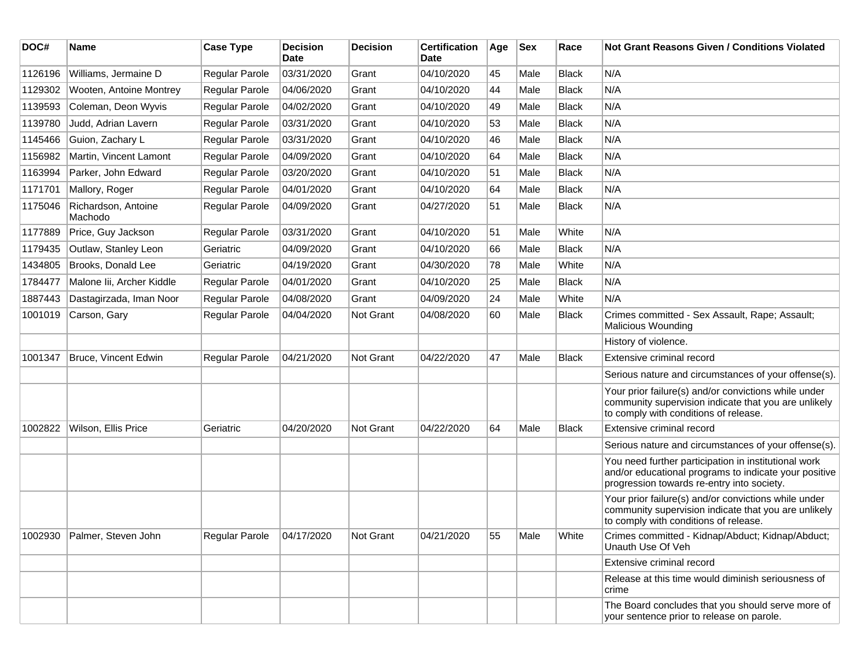| DOC#    | Name                           | <b>Case Type</b>      | <b>Decision</b><br>Date | <b>Decision</b>  | <b>Certification</b><br><b>Date</b> | Age | <b>Sex</b> | Race         | Not Grant Reasons Given / Conditions Violated                                                                                                               |
|---------|--------------------------------|-----------------------|-------------------------|------------------|-------------------------------------|-----|------------|--------------|-------------------------------------------------------------------------------------------------------------------------------------------------------------|
| 1126196 | Williams, Jermaine D           | Regular Parole        | 03/31/2020              | Grant            | 04/10/2020                          | 45  | Male       | Black        | N/A                                                                                                                                                         |
| 1129302 | Wooten, Antoine Montrey        | <b>Regular Parole</b> | 04/06/2020              | Grant            | 04/10/2020                          | 44  | Male       | <b>Black</b> | N/A                                                                                                                                                         |
| 1139593 | Coleman, Deon Wyvis            | Regular Parole        | 04/02/2020              | Grant            | 04/10/2020                          | 49  | Male       | <b>Black</b> | N/A                                                                                                                                                         |
| 1139780 | Judd, Adrian Lavern            | Regular Parole        | 03/31/2020              | Grant            | 04/10/2020                          | 53  | Male       | <b>Black</b> | N/A                                                                                                                                                         |
| 1145466 | Guion, Zachary L               | Regular Parole        | 03/31/2020              | Grant            | 04/10/2020                          | 46  | Male       | Black        | N/A                                                                                                                                                         |
| 1156982 | Martin, Vincent Lamont         | Regular Parole        | 04/09/2020              | Grant            | 04/10/2020                          | 64  | Male       | Black        | N/A                                                                                                                                                         |
| 1163994 | Parker, John Edward            | Regular Parole        | 03/20/2020              | Grant            | 04/10/2020                          | 51  | Male       | Black        | N/A                                                                                                                                                         |
| 1171701 | Mallory, Roger                 | Regular Parole        | 04/01/2020              | Grant            | 04/10/2020                          | 64  | Male       | Black        | N/A                                                                                                                                                         |
| 1175046 | Richardson, Antoine<br>Machodo | Regular Parole        | 04/09/2020              | Grant            | 04/27/2020                          | 51  | Male       | <b>Black</b> | N/A                                                                                                                                                         |
| 1177889 | Price, Guy Jackson             | Regular Parole        | 03/31/2020              | Grant            | 04/10/2020                          | 51  | Male       | White        | N/A                                                                                                                                                         |
| 1179435 | Outlaw, Stanley Leon           | Geriatric             | 04/09/2020              | Grant            | 04/10/2020                          | 66  | Male       | Black        | N/A                                                                                                                                                         |
| 1434805 | Brooks, Donald Lee             | Geriatric             | 04/19/2020              | Grant            | 04/30/2020                          | 78  | Male       | White        | N/A                                                                                                                                                         |
| 1784477 | Malone lii, Archer Kiddle      | Regular Parole        | 04/01/2020              | Grant            | 04/10/2020                          | 25  | Male       | Black        | N/A                                                                                                                                                         |
| 1887443 | Dastagirzada, Iman Noor        | Regular Parole        | 04/08/2020              | Grant            | 04/09/2020                          | 24  | Male       | White        | N/A                                                                                                                                                         |
| 1001019 | Carson, Gary                   | Regular Parole        | 04/04/2020              | <b>Not Grant</b> | 04/08/2020                          | 60  | Male       | Black        | Crimes committed - Sex Assault, Rape; Assault;<br><b>Malicious Wounding</b>                                                                                 |
|         |                                |                       |                         |                  |                                     |     |            |              | History of violence.                                                                                                                                        |
| 1001347 | Bruce, Vincent Edwin           | Regular Parole        | 04/21/2020              | Not Grant        | 04/22/2020                          | 47  | Male       | <b>Black</b> | Extensive criminal record                                                                                                                                   |
|         |                                |                       |                         |                  |                                     |     |            |              | Serious nature and circumstances of your offense(s).                                                                                                        |
|         |                                |                       |                         |                  |                                     |     |            |              | Your prior failure(s) and/or convictions while under<br>community supervision indicate that you are unlikely<br>to comply with conditions of release.       |
| 1002822 | Wilson, Ellis Price            | Geriatric             | 04/20/2020              | Not Grant        | 04/22/2020                          | 64  | Male       | Black        | Extensive criminal record                                                                                                                                   |
|         |                                |                       |                         |                  |                                     |     |            |              | Serious nature and circumstances of your offense(s).                                                                                                        |
|         |                                |                       |                         |                  |                                     |     |            |              | You need further participation in institutional work<br>and/or educational programs to indicate your positive<br>progression towards re-entry into society. |
|         |                                |                       |                         |                  |                                     |     |            |              | Your prior failure(s) and/or convictions while under<br>community supervision indicate that you are unlikely<br>to comply with conditions of release.       |
|         | 1002930 Palmer, Steven John    | <b>Regular Parole</b> | 04/17/2020              | Not Grant        | 04/21/2020                          | 55  | Male       | White        | Crimes committed - Kidnap/Abduct; Kidnap/Abduct;<br>Unauth Use Of Veh                                                                                       |
|         |                                |                       |                         |                  |                                     |     |            |              | Extensive criminal record                                                                                                                                   |
|         |                                |                       |                         |                  |                                     |     |            |              | Release at this time would diminish seriousness of<br>crime                                                                                                 |
|         |                                |                       |                         |                  |                                     |     |            |              | The Board concludes that you should serve more of<br>your sentence prior to release on parole.                                                              |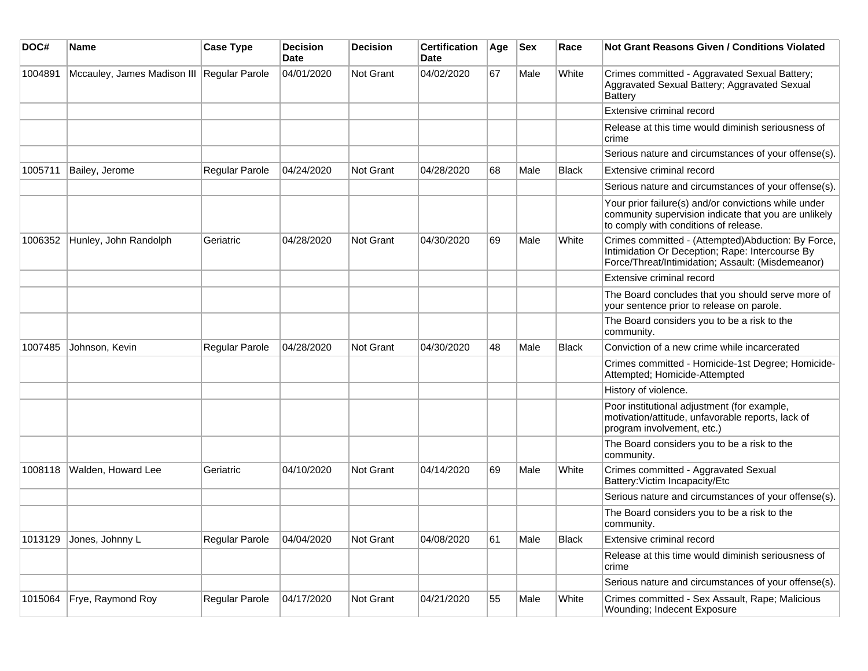| DOC#    | <b>Name</b>                                | <b>Case Type</b>      | <b>Decision</b><br><b>Date</b> | <b>Decision</b>  | <b>Certification</b><br>Date | Age | <b>Sex</b> | Race         | <b>Not Grant Reasons Given / Conditions Violated</b>                                                                                                       |
|---------|--------------------------------------------|-----------------------|--------------------------------|------------------|------------------------------|-----|------------|--------------|------------------------------------------------------------------------------------------------------------------------------------------------------------|
| 1004891 | Mccauley, James Madison III Regular Parole |                       | 04/01/2020                     | <b>Not Grant</b> | 04/02/2020                   | 67  | Male       | White        | Crimes committed - Aggravated Sexual Battery;<br>Aggravated Sexual Battery; Aggravated Sexual<br>Battery                                                   |
|         |                                            |                       |                                |                  |                              |     |            |              | Extensive criminal record                                                                                                                                  |
|         |                                            |                       |                                |                  |                              |     |            |              | Release at this time would diminish seriousness of<br>crime                                                                                                |
|         |                                            |                       |                                |                  |                              |     |            |              | Serious nature and circumstances of your offense(s).                                                                                                       |
| 1005711 | Bailey, Jerome                             | <b>Regular Parole</b> | 04/24/2020                     | <b>Not Grant</b> | 04/28/2020                   | 68  | Male       | Black        | Extensive criminal record                                                                                                                                  |
|         |                                            |                       |                                |                  |                              |     |            |              | Serious nature and circumstances of your offense(s).                                                                                                       |
|         |                                            |                       |                                |                  |                              |     |            |              | Your prior failure(s) and/or convictions while under<br>community supervision indicate that you are unlikely<br>to comply with conditions of release.      |
| 1006352 | Hunley, John Randolph                      | Geriatric             | 04/28/2020                     | <b>Not Grant</b> | 04/30/2020                   | 69  | Male       | White        | Crimes committed - (Attempted)Abduction: By Force,<br>Intimidation Or Deception; Rape: Intercourse By<br>Force/Threat/Intimidation; Assault: (Misdemeanor) |
|         |                                            |                       |                                |                  |                              |     |            |              | Extensive criminal record                                                                                                                                  |
|         |                                            |                       |                                |                  |                              |     |            |              | The Board concludes that you should serve more of<br>your sentence prior to release on parole.                                                             |
|         |                                            |                       |                                |                  |                              |     |            |              | The Board considers you to be a risk to the<br>community.                                                                                                  |
| 1007485 | Johnson, Kevin                             | <b>Regular Parole</b> | 04/28/2020                     | Not Grant        | 04/30/2020                   | 48  | Male       | <b>Black</b> | Conviction of a new crime while incarcerated                                                                                                               |
|         |                                            |                       |                                |                  |                              |     |            |              | Crimes committed - Homicide-1st Degree; Homicide-<br>Attempted; Homicide-Attempted                                                                         |
|         |                                            |                       |                                |                  |                              |     |            |              | History of violence.                                                                                                                                       |
|         |                                            |                       |                                |                  |                              |     |            |              | Poor institutional adjustment (for example,<br>motivation/attitude, unfavorable reports, lack of<br>program involvement, etc.)                             |
|         |                                            |                       |                                |                  |                              |     |            |              | The Board considers you to be a risk to the<br>community.                                                                                                  |
| 1008118 | Walden, Howard Lee                         | Geriatric             | 04/10/2020                     | <b>Not Grant</b> | 04/14/2020                   | 69  | Male       | White        | Crimes committed - Aggravated Sexual<br>Battery: Victim Incapacity/Etc                                                                                     |
|         |                                            |                       |                                |                  |                              |     |            |              | Serious nature and circumstances of your offense(s).                                                                                                       |
|         |                                            |                       |                                |                  |                              |     |            |              | The Board considers you to be a risk to the<br>community.                                                                                                  |
| 1013129 | Jones, Johnny L                            | Regular Parole        | 04/04/2020                     | Not Grant        | 04/08/2020                   | 61  | Male       | <b>Black</b> | Extensive criminal record                                                                                                                                  |
|         |                                            |                       |                                |                  |                              |     |            |              | Release at this time would diminish seriousness of<br>crime                                                                                                |
|         |                                            |                       |                                |                  |                              |     |            |              | Serious nature and circumstances of your offense(s).                                                                                                       |
| 1015064 | Frye, Raymond Roy                          | Regular Parole        | 04/17/2020                     | Not Grant        | 04/21/2020                   | 55  | Male       | White        | Crimes committed - Sex Assault, Rape; Malicious<br>Wounding; Indecent Exposure                                                                             |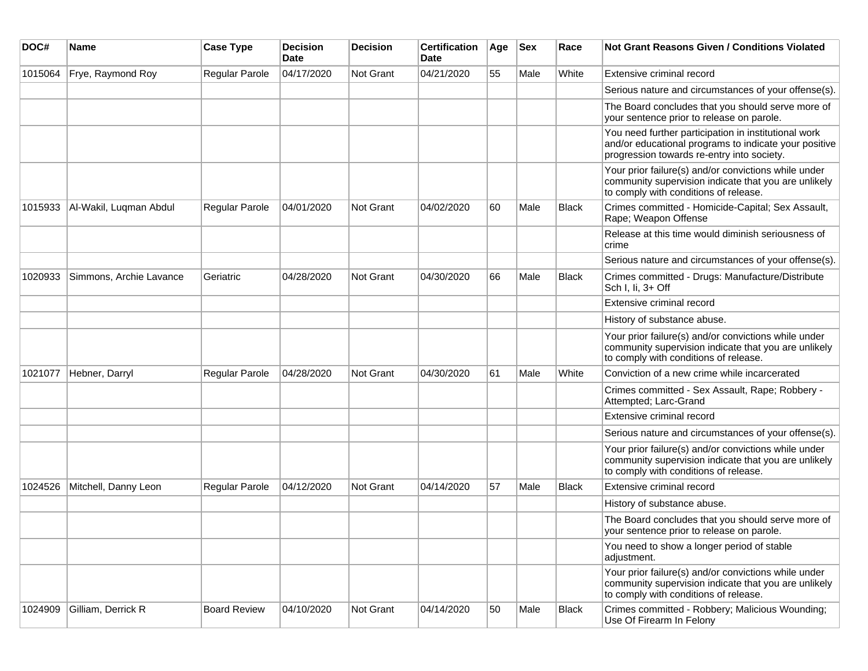| DOC#    | Name                    | <b>Case Type</b>      | <b>Decision</b><br>Date | <b>Decision</b> | <b>Certification</b><br><b>Date</b> | Age | <b>Sex</b> | Race         | Not Grant Reasons Given / Conditions Violated                                                                                                               |
|---------|-------------------------|-----------------------|-------------------------|-----------------|-------------------------------------|-----|------------|--------------|-------------------------------------------------------------------------------------------------------------------------------------------------------------|
| 1015064 | Frye, Raymond Roy       | Regular Parole        | 04/17/2020              | Not Grant       | 04/21/2020                          | 55  | Male       | White        | Extensive criminal record                                                                                                                                   |
|         |                         |                       |                         |                 |                                     |     |            |              | Serious nature and circumstances of your offense(s).                                                                                                        |
|         |                         |                       |                         |                 |                                     |     |            |              | The Board concludes that you should serve more of<br>your sentence prior to release on parole.                                                              |
|         |                         |                       |                         |                 |                                     |     |            |              | You need further participation in institutional work<br>and/or educational programs to indicate your positive<br>progression towards re-entry into society. |
|         |                         |                       |                         |                 |                                     |     |            |              | Your prior failure(s) and/or convictions while under<br>community supervision indicate that you are unlikely<br>to comply with conditions of release.       |
| 1015933 | Al-Wakil, Luqman Abdul  | <b>Regular Parole</b> | 04/01/2020              | Not Grant       | 04/02/2020                          | 60  | Male       | <b>Black</b> | Crimes committed - Homicide-Capital; Sex Assault,<br>Rape; Weapon Offense                                                                                   |
|         |                         |                       |                         |                 |                                     |     |            |              | Release at this time would diminish seriousness of<br>crime                                                                                                 |
|         |                         |                       |                         |                 |                                     |     |            |              | Serious nature and circumstances of your offense(s).                                                                                                        |
| 1020933 | Simmons, Archie Lavance | Geriatric             | 04/28/2020              | Not Grant       | 04/30/2020                          | 66  | Male       | <b>Black</b> | Crimes committed - Drugs: Manufacture/Distribute<br>Sch I, Ii, 3+ Off                                                                                       |
|         |                         |                       |                         |                 |                                     |     |            |              | Extensive criminal record                                                                                                                                   |
|         |                         |                       |                         |                 |                                     |     |            |              | History of substance abuse.                                                                                                                                 |
|         |                         |                       |                         |                 |                                     |     |            |              | Your prior failure(s) and/or convictions while under<br>community supervision indicate that you are unlikely<br>to comply with conditions of release.       |
| 1021077 | Hebner, Darryl          | Regular Parole        | 04/28/2020              | Not Grant       | 04/30/2020                          | 61  | Male       | White        | Conviction of a new crime while incarcerated                                                                                                                |
|         |                         |                       |                         |                 |                                     |     |            |              | Crimes committed - Sex Assault, Rape; Robbery -<br>Attempted; Larc-Grand                                                                                    |
|         |                         |                       |                         |                 |                                     |     |            |              | Extensive criminal record                                                                                                                                   |
|         |                         |                       |                         |                 |                                     |     |            |              | Serious nature and circumstances of your offense(s).                                                                                                        |
|         |                         |                       |                         |                 |                                     |     |            |              | Your prior failure(s) and/or convictions while under<br>community supervision indicate that you are unlikely<br>to comply with conditions of release.       |
| 1024526 | Mitchell, Danny Leon    | Regular Parole        | 04/12/2020              | Not Grant       | 04/14/2020                          | 57  | Male       | Black        | Extensive criminal record                                                                                                                                   |
|         |                         |                       |                         |                 |                                     |     |            |              | History of substance abuse.                                                                                                                                 |
|         |                         |                       |                         |                 |                                     |     |            |              | The Board concludes that you should serve more of<br>your sentence prior to release on parole.                                                              |
|         |                         |                       |                         |                 |                                     |     |            |              | You need to show a longer period of stable<br>adjustment.                                                                                                   |
|         |                         |                       |                         |                 |                                     |     |            |              | Your prior failure(s) and/or convictions while under<br>community supervision indicate that you are unlikely<br>to comply with conditions of release.       |
| 1024909 | Gilliam, Derrick R      | <b>Board Review</b>   | 04/10/2020              | Not Grant       | 04/14/2020                          | 50  | Male       | Black        | Crimes committed - Robbery; Malicious Wounding;<br>Use Of Firearm In Felony                                                                                 |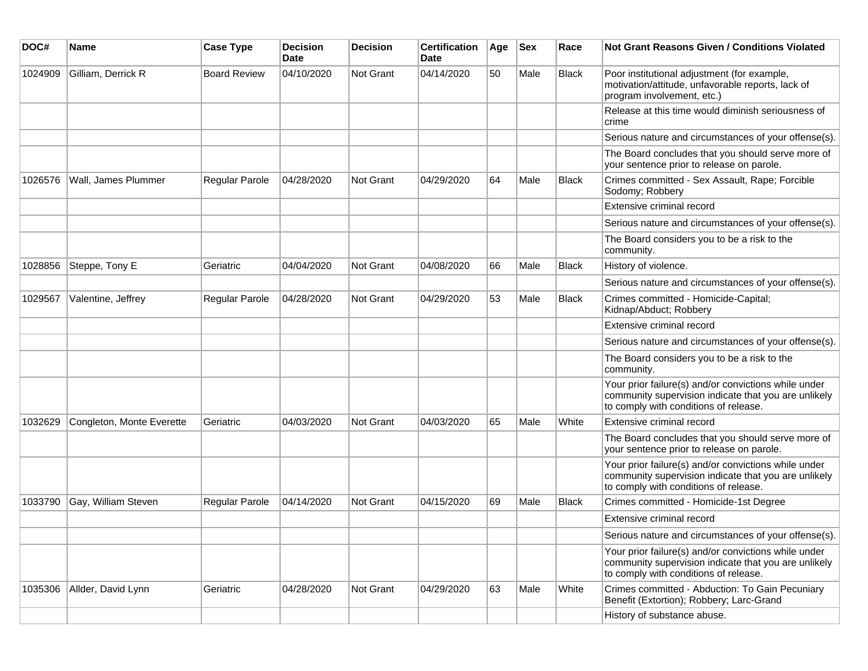| DOC#    | Name                      | <b>Case Type</b>    | <b>Decision</b><br><b>Date</b> | <b>Decision</b> | <b>Certification</b><br>Date | Age | Sex  | Race         | <b>Not Grant Reasons Given / Conditions Violated</b>                                                                                                  |
|---------|---------------------------|---------------------|--------------------------------|-----------------|------------------------------|-----|------|--------------|-------------------------------------------------------------------------------------------------------------------------------------------------------|
| 1024909 | Gilliam, Derrick R        | <b>Board Review</b> | 04/10/2020                     | Not Grant       | 04/14/2020                   | 50  | Male | <b>Black</b> | Poor institutional adjustment (for example,<br>motivation/attitude, unfavorable reports, lack of<br>program involvement, etc.)                        |
|         |                           |                     |                                |                 |                              |     |      |              | Release at this time would diminish seriousness of<br>crime                                                                                           |
|         |                           |                     |                                |                 |                              |     |      |              | Serious nature and circumstances of your offense(s).                                                                                                  |
|         |                           |                     |                                |                 |                              |     |      |              | The Board concludes that you should serve more of<br>your sentence prior to release on parole.                                                        |
| 1026576 | Wall, James Plummer       | Regular Parole      | 04/28/2020                     | Not Grant       | 04/29/2020                   | 64  | Male | <b>Black</b> | Crimes committed - Sex Assault, Rape; Forcible<br>Sodomy; Robbery                                                                                     |
|         |                           |                     |                                |                 |                              |     |      |              | Extensive criminal record                                                                                                                             |
|         |                           |                     |                                |                 |                              |     |      |              | Serious nature and circumstances of your offense(s).                                                                                                  |
|         |                           |                     |                                |                 |                              |     |      |              | The Board considers you to be a risk to the<br>community.                                                                                             |
| 1028856 | Steppe, Tony E            | Geriatric           | 04/04/2020                     | Not Grant       | 04/08/2020                   | 66  | Male | <b>Black</b> | History of violence.                                                                                                                                  |
|         |                           |                     |                                |                 |                              |     |      |              | Serious nature and circumstances of your offense(s).                                                                                                  |
| 1029567 | Valentine, Jeffrey        | Regular Parole      | 04/28/2020                     | Not Grant       | 04/29/2020                   | 53  | Male | <b>Black</b> | Crimes committed - Homicide-Capital;<br>Kidnap/Abduct; Robbery                                                                                        |
|         |                           |                     |                                |                 |                              |     |      |              | Extensive criminal record                                                                                                                             |
|         |                           |                     |                                |                 |                              |     |      |              | Serious nature and circumstances of your offense(s).                                                                                                  |
|         |                           |                     |                                |                 |                              |     |      |              | The Board considers you to be a risk to the<br>community.                                                                                             |
|         |                           |                     |                                |                 |                              |     |      |              | Your prior failure(s) and/or convictions while under<br>community supervision indicate that you are unlikely<br>to comply with conditions of release. |
| 1032629 | Congleton, Monte Everette | Geriatric           | 04/03/2020                     | Not Grant       | 04/03/2020                   | 65  | Male | White        | Extensive criminal record                                                                                                                             |
|         |                           |                     |                                |                 |                              |     |      |              | The Board concludes that you should serve more of<br>your sentence prior to release on parole.                                                        |
|         |                           |                     |                                |                 |                              |     |      |              | Your prior failure(s) and/or convictions while under<br>community supervision indicate that you are unlikely<br>to comply with conditions of release. |
| 1033790 | Gay, William Steven       | Regular Parole      | 04/14/2020                     | Not Grant       | 04/15/2020                   | 69  | Male | <b>Black</b> | Crimes committed - Homicide-1st Degree                                                                                                                |
|         |                           |                     |                                |                 |                              |     |      |              | Extensive criminal record                                                                                                                             |
|         |                           |                     |                                |                 |                              |     |      |              | Serious nature and circumstances of your offense(s).                                                                                                  |
|         |                           |                     |                                |                 |                              |     |      |              | Your prior failure(s) and/or convictions while under<br>community supervision indicate that you are unlikely<br>to comply with conditions of release. |
| 1035306 | Allder, David Lynn        | Geriatric           | 04/28/2020                     | Not Grant       | 04/29/2020                   | 63  | Male | White        | Crimes committed - Abduction: To Gain Pecuniary<br>Benefit (Extortion); Robbery; Larc-Grand                                                           |
|         |                           |                     |                                |                 |                              |     |      |              | History of substance abuse.                                                                                                                           |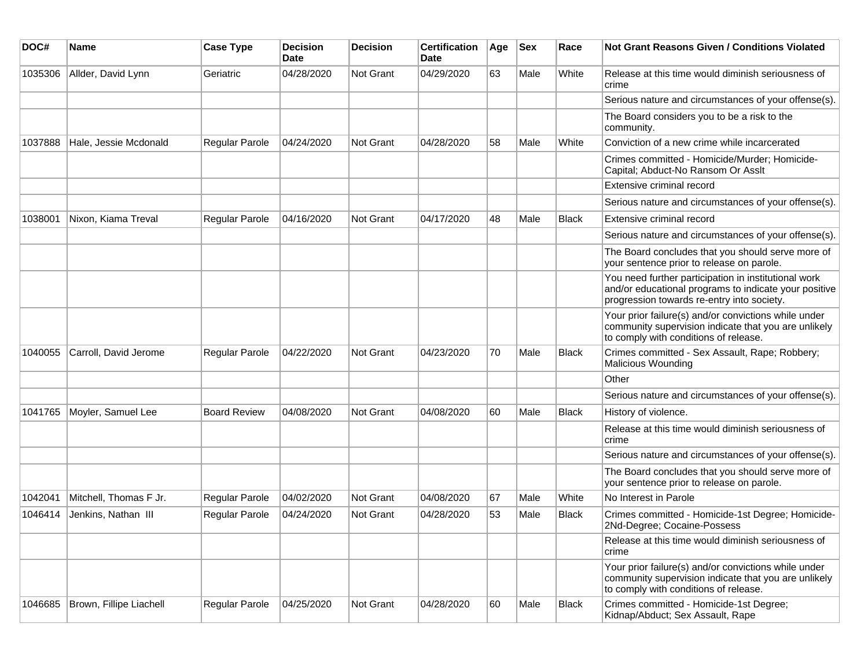| DOC#    | <b>Name</b>             | <b>Case Type</b>      | <b>Decision</b><br><b>Date</b> | <b>Decision</b>  | <b>Certification</b><br><b>Date</b> | Age | <b>Sex</b> | Race         | Not Grant Reasons Given / Conditions Violated                                                                                                               |
|---------|-------------------------|-----------------------|--------------------------------|------------------|-------------------------------------|-----|------------|--------------|-------------------------------------------------------------------------------------------------------------------------------------------------------------|
| 1035306 | Allder, David Lynn      | Geriatric             | 04/28/2020                     | <b>Not Grant</b> | 04/29/2020                          | 63  | Male       | White        | Release at this time would diminish seriousness of<br>crime                                                                                                 |
|         |                         |                       |                                |                  |                                     |     |            |              | Serious nature and circumstances of your offense(s).                                                                                                        |
|         |                         |                       |                                |                  |                                     |     |            |              | The Board considers you to be a risk to the<br>community.                                                                                                   |
| 1037888 | Hale, Jessie Mcdonald   | <b>Regular Parole</b> | 04/24/2020                     | <b>Not Grant</b> | 04/28/2020                          | 58  | Male       | White        | Conviction of a new crime while incarcerated                                                                                                                |
|         |                         |                       |                                |                  |                                     |     |            |              | Crimes committed - Homicide/Murder; Homicide-<br>Capital; Abduct-No Ransom Or Asslt                                                                         |
|         |                         |                       |                                |                  |                                     |     |            |              | Extensive criminal record                                                                                                                                   |
|         |                         |                       |                                |                  |                                     |     |            |              | Serious nature and circumstances of your offense(s).                                                                                                        |
| 1038001 | Nixon, Kiama Treval     | <b>Regular Parole</b> | 04/16/2020                     | Not Grant        | 04/17/2020                          | 48  | Male       | <b>Black</b> | Extensive criminal record                                                                                                                                   |
|         |                         |                       |                                |                  |                                     |     |            |              | Serious nature and circumstances of your offense(s).                                                                                                        |
|         |                         |                       |                                |                  |                                     |     |            |              | The Board concludes that you should serve more of<br>your sentence prior to release on parole.                                                              |
|         |                         |                       |                                |                  |                                     |     |            |              | You need further participation in institutional work<br>and/or educational programs to indicate your positive<br>progression towards re-entry into society. |
|         |                         |                       |                                |                  |                                     |     |            |              | Your prior failure(s) and/or convictions while under<br>community supervision indicate that you are unlikely<br>to comply with conditions of release.       |
| 1040055 | Carroll, David Jerome   | Regular Parole        | 04/22/2020                     | Not Grant        | 04/23/2020                          | 70  | Male       | <b>Black</b> | Crimes committed - Sex Assault, Rape; Robbery;<br>Malicious Wounding                                                                                        |
|         |                         |                       |                                |                  |                                     |     |            |              | Other                                                                                                                                                       |
|         |                         |                       |                                |                  |                                     |     |            |              | Serious nature and circumstances of your offense(s).                                                                                                        |
| 1041765 | Moyler, Samuel Lee      | <b>Board Review</b>   | 04/08/2020                     | <b>Not Grant</b> | 04/08/2020                          | 60  | Male       | <b>Black</b> | History of violence.                                                                                                                                        |
|         |                         |                       |                                |                  |                                     |     |            |              | Release at this time would diminish seriousness of<br>crime                                                                                                 |
|         |                         |                       |                                |                  |                                     |     |            |              | Serious nature and circumstances of your offense(s).                                                                                                        |
|         |                         |                       |                                |                  |                                     |     |            |              | The Board concludes that you should serve more of<br>your sentence prior to release on parole.                                                              |
| 1042041 | Mitchell, Thomas F Jr.  | Regular Parole        | 04/02/2020                     | Not Grant        | 04/08/2020                          | 67  | Male       | White        | No Interest in Parole                                                                                                                                       |
| 1046414 | Jenkins, Nathan III     | Regular Parole        | 04/24/2020                     | Not Grant        | 04/28/2020                          | 53  | Male       | <b>Black</b> | Crimes committed - Homicide-1st Degree; Homicide-<br>2Nd-Degree; Cocaine-Possess                                                                            |
|         |                         |                       |                                |                  |                                     |     |            |              | Release at this time would diminish seriousness of<br>crime                                                                                                 |
|         |                         |                       |                                |                  |                                     |     |            |              | Your prior failure(s) and/or convictions while under<br>community supervision indicate that you are unlikely<br>to comply with conditions of release.       |
| 1046685 | Brown, Fillipe Liachell | Regular Parole        | 04/25/2020                     | Not Grant        | 04/28/2020                          | 60  | Male       | Black        | Crimes committed - Homicide-1st Degree;<br>Kidnap/Abduct; Sex Assault, Rape                                                                                 |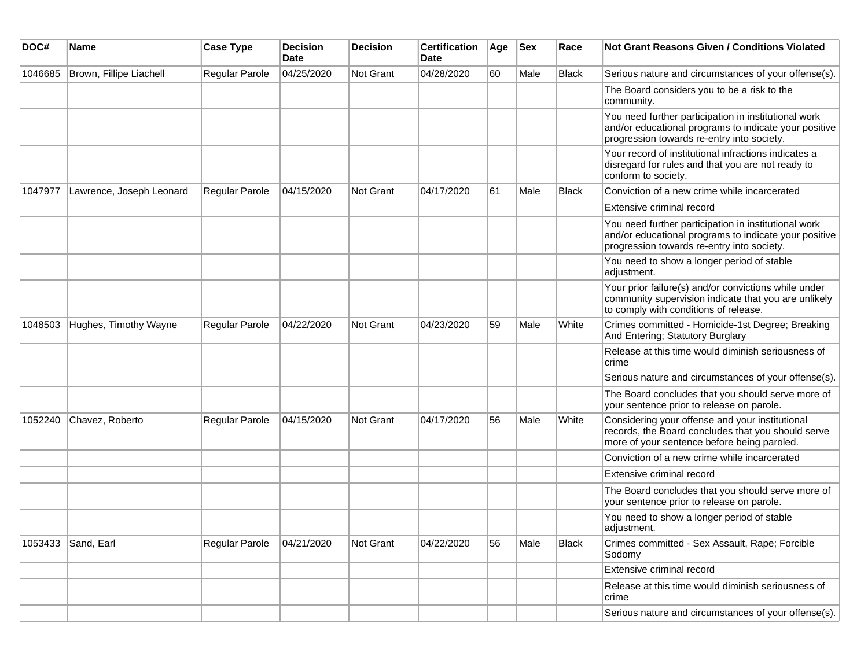| DOC#    | Name                     | <b>Case Type</b> | <b>Decision</b><br>Date | <b>Decision</b> | <b>Certification</b><br>Date | Age | Sex  | Race         | Not Grant Reasons Given / Conditions Violated                                                                                                               |
|---------|--------------------------|------------------|-------------------------|-----------------|------------------------------|-----|------|--------------|-------------------------------------------------------------------------------------------------------------------------------------------------------------|
| 1046685 | Brown, Fillipe Liachell  | Regular Parole   | 04/25/2020              | Not Grant       | 04/28/2020                   | 60  | Male | <b>Black</b> | Serious nature and circumstances of your offense(s).                                                                                                        |
|         |                          |                  |                         |                 |                              |     |      |              | The Board considers you to be a risk to the<br>community.                                                                                                   |
|         |                          |                  |                         |                 |                              |     |      |              | You need further participation in institutional work<br>and/or educational programs to indicate your positive<br>progression towards re-entry into society. |
|         |                          |                  |                         |                 |                              |     |      |              | Your record of institutional infractions indicates a<br>disregard for rules and that you are not ready to<br>conform to society.                            |
| 1047977 | Lawrence, Joseph Leonard | Regular Parole   | 04/15/2020              | Not Grant       | 04/17/2020                   | 61  | Male | <b>Black</b> | Conviction of a new crime while incarcerated                                                                                                                |
|         |                          |                  |                         |                 |                              |     |      |              | Extensive criminal record                                                                                                                                   |
|         |                          |                  |                         |                 |                              |     |      |              | You need further participation in institutional work<br>and/or educational programs to indicate your positive<br>progression towards re-entry into society. |
|         |                          |                  |                         |                 |                              |     |      |              | You need to show a longer period of stable<br>adjustment.                                                                                                   |
|         |                          |                  |                         |                 |                              |     |      |              | Your prior failure(s) and/or convictions while under<br>community supervision indicate that you are unlikely<br>to comply with conditions of release.       |
| 1048503 | Hughes, Timothy Wayne    | Regular Parole   | 04/22/2020              | Not Grant       | 04/23/2020                   | 59  | Male | White        | Crimes committed - Homicide-1st Degree; Breaking<br>And Entering; Statutory Burglary                                                                        |
|         |                          |                  |                         |                 |                              |     |      |              | Release at this time would diminish seriousness of<br>crime                                                                                                 |
|         |                          |                  |                         |                 |                              |     |      |              | Serious nature and circumstances of your offense(s).                                                                                                        |
|         |                          |                  |                         |                 |                              |     |      |              | The Board concludes that you should serve more of<br>your sentence prior to release on parole.                                                              |
| 1052240 | Chavez, Roberto          | Regular Parole   | 04/15/2020              | Not Grant       | 04/17/2020                   | 56  | Male | White        | Considering your offense and your institutional<br>records, the Board concludes that you should serve<br>more of your sentence before being paroled.        |
|         |                          |                  |                         |                 |                              |     |      |              | Conviction of a new crime while incarcerated                                                                                                                |
|         |                          |                  |                         |                 |                              |     |      |              | Extensive criminal record                                                                                                                                   |
|         |                          |                  |                         |                 |                              |     |      |              | The Board concludes that you should serve more of<br>your sentence prior to release on parole.                                                              |
|         |                          |                  |                         |                 |                              |     |      |              | You need to show a longer period of stable<br>adjustment.                                                                                                   |
|         | 1053433 Sand, Earl       | Regular Parole   | 04/21/2020              | Not Grant       | 04/22/2020                   | 56  | Male | Black        | Crimes committed - Sex Assault, Rape; Forcible<br>Sodomy                                                                                                    |
|         |                          |                  |                         |                 |                              |     |      |              | Extensive criminal record                                                                                                                                   |
|         |                          |                  |                         |                 |                              |     |      |              | Release at this time would diminish seriousness of<br>crime                                                                                                 |
|         |                          |                  |                         |                 |                              |     |      |              | Serious nature and circumstances of your offense(s).                                                                                                        |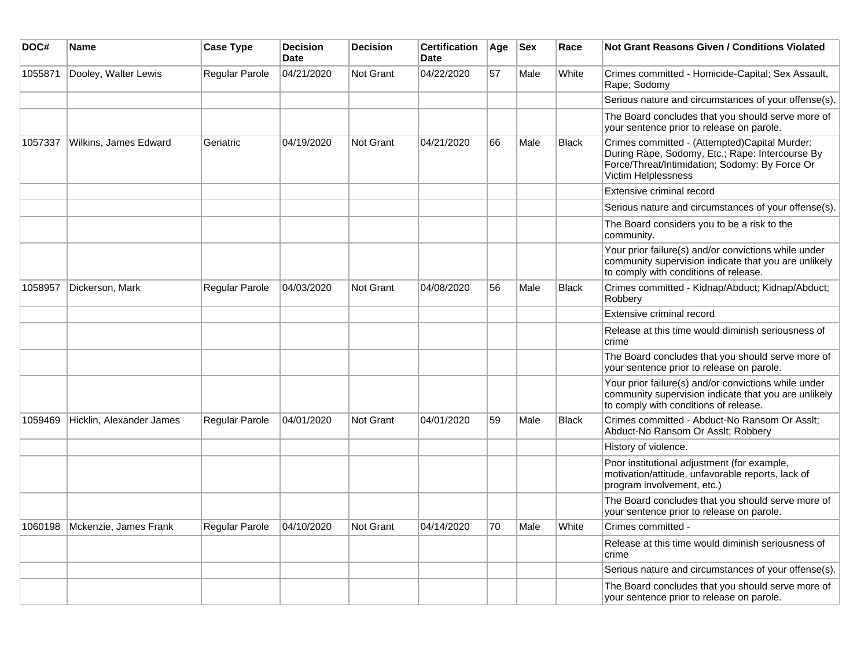| DOC#    | Name                     | <b>Case Type</b> | <b>Decision</b><br><b>Date</b> | <b>Decision</b> | <b>Certification</b><br><b>Date</b> | Age | <b>Sex</b> | Race         | Not Grant Reasons Given / Conditions Violated                                                                                                                             |
|---------|--------------------------|------------------|--------------------------------|-----------------|-------------------------------------|-----|------------|--------------|---------------------------------------------------------------------------------------------------------------------------------------------------------------------------|
| 1055871 | Dooley, Walter Lewis     | Regular Parole   | 04/21/2020                     | Not Grant       | 04/22/2020                          | 57  | Male       | White        | Crimes committed - Homicide-Capital; Sex Assault,<br>Rape; Sodomy                                                                                                         |
|         |                          |                  |                                |                 |                                     |     |            |              | Serious nature and circumstances of your offense(s).                                                                                                                      |
|         |                          |                  |                                |                 |                                     |     |            |              | The Board concludes that you should serve more of<br>your sentence prior to release on parole.                                                                            |
| 1057337 | Wilkins, James Edward    | Geriatric        | 04/19/2020                     | Not Grant       | 04/21/2020                          | 66  | Male       | <b>Black</b> | Crimes committed - (Attempted)Capital Murder:<br>During Rape, Sodomy, Etc.; Rape: Intercourse By<br>Force/Threat/Intimidation; Sodomy: By Force Or<br>Victim Helplessness |
|         |                          |                  |                                |                 |                                     |     |            |              | Extensive criminal record                                                                                                                                                 |
|         |                          |                  |                                |                 |                                     |     |            |              | Serious nature and circumstances of your offense(s).                                                                                                                      |
|         |                          |                  |                                |                 |                                     |     |            |              | The Board considers you to be a risk to the<br>community.                                                                                                                 |
|         |                          |                  |                                |                 |                                     |     |            |              | Your prior failure(s) and/or convictions while under<br>community supervision indicate that you are unlikely<br>to comply with conditions of release.                     |
| 1058957 | Dickerson, Mark          | Regular Parole   | 04/03/2020                     | Not Grant       | 04/08/2020                          | 56  | Male       | <b>Black</b> | Crimes committed - Kidnap/Abduct; Kidnap/Abduct;<br>Robbery                                                                                                               |
|         |                          |                  |                                |                 |                                     |     |            |              | Extensive criminal record                                                                                                                                                 |
|         |                          |                  |                                |                 |                                     |     |            |              | Release at this time would diminish seriousness of<br>crime                                                                                                               |
|         |                          |                  |                                |                 |                                     |     |            |              | The Board concludes that you should serve more of<br>your sentence prior to release on parole.                                                                            |
|         |                          |                  |                                |                 |                                     |     |            |              | Your prior failure(s) and/or convictions while under<br>community supervision indicate that you are unlikely<br>to comply with conditions of release.                     |
| 1059469 | Hicklin, Alexander James | Regular Parole   | 04/01/2020                     | Not Grant       | 04/01/2020                          | 59  | Male       | <b>Black</b> | Crimes committed - Abduct-No Ransom Or Asslt;<br>Abduct-No Ransom Or Asslt; Robbery                                                                                       |
|         |                          |                  |                                |                 |                                     |     |            |              | History of violence.                                                                                                                                                      |
|         |                          |                  |                                |                 |                                     |     |            |              | Poor institutional adjustment (for example,<br>motivation/attitude, unfavorable reports, lack of<br>program involvement, etc.)                                            |
|         |                          |                  |                                |                 |                                     |     |            |              | The Board concludes that you should serve more of<br>your sentence prior to release on parole.                                                                            |
| 1060198 | Mckenzie, James Frank    | Regular Parole   | 04/10/2020                     | Not Grant       | 04/14/2020                          | 70  | Male       | White        | Crimes committed -                                                                                                                                                        |
|         |                          |                  |                                |                 |                                     |     |            |              | Release at this time would diminish seriousness of<br>crime                                                                                                               |
|         |                          |                  |                                |                 |                                     |     |            |              | Serious nature and circumstances of your offense(s).                                                                                                                      |
|         |                          |                  |                                |                 |                                     |     |            |              | The Board concludes that you should serve more of<br>your sentence prior to release on parole.                                                                            |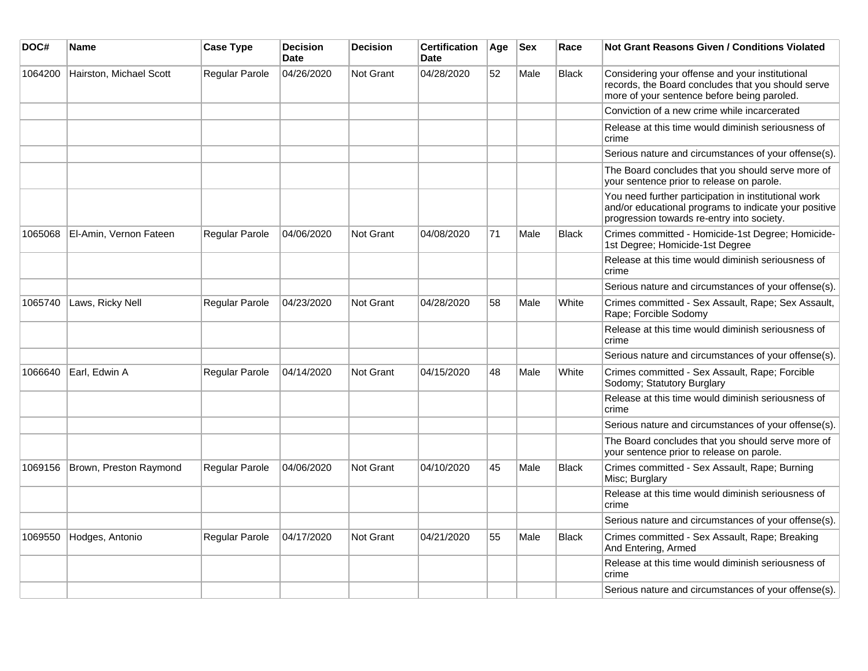| DOC#    | Name                    | <b>Case Type</b>      | <b>Decision</b><br><b>Date</b> | <b>Decision</b>  | <b>Certification</b><br><b>Date</b> | Age | <b>Sex</b> | Race         | <b>Not Grant Reasons Given / Conditions Violated</b>                                                                                                        |
|---------|-------------------------|-----------------------|--------------------------------|------------------|-------------------------------------|-----|------------|--------------|-------------------------------------------------------------------------------------------------------------------------------------------------------------|
| 1064200 | Hairston, Michael Scott | Regular Parole        | 04/26/2020                     | <b>Not Grant</b> | 04/28/2020                          | 52  | Male       | <b>Black</b> | Considering your offense and your institutional<br>records, the Board concludes that you should serve<br>more of your sentence before being paroled.        |
|         |                         |                       |                                |                  |                                     |     |            |              | Conviction of a new crime while incarcerated                                                                                                                |
|         |                         |                       |                                |                  |                                     |     |            |              | Release at this time would diminish seriousness of<br>crime                                                                                                 |
|         |                         |                       |                                |                  |                                     |     |            |              | Serious nature and circumstances of your offense(s).                                                                                                        |
|         |                         |                       |                                |                  |                                     |     |            |              | The Board concludes that you should serve more of<br>your sentence prior to release on parole.                                                              |
|         |                         |                       |                                |                  |                                     |     |            |              | You need further participation in institutional work<br>and/or educational programs to indicate your positive<br>progression towards re-entry into society. |
| 1065068 | El-Amin, Vernon Fateen  | <b>Regular Parole</b> | 04/06/2020                     | <b>Not Grant</b> | 04/08/2020                          | 71  | Male       | <b>Black</b> | Crimes committed - Homicide-1st Degree; Homicide-<br>1st Degree; Homicide-1st Degree                                                                        |
|         |                         |                       |                                |                  |                                     |     |            |              | Release at this time would diminish seriousness of<br>crime                                                                                                 |
|         |                         |                       |                                |                  |                                     |     |            |              | Serious nature and circumstances of your offense(s).                                                                                                        |
| 1065740 | Laws, Ricky Nell        | Regular Parole        | 04/23/2020                     | <b>Not Grant</b> | 04/28/2020                          | 58  | Male       | White        | Crimes committed - Sex Assault, Rape; Sex Assault,<br>Rape; Forcible Sodomy                                                                                 |
|         |                         |                       |                                |                  |                                     |     |            |              | Release at this time would diminish seriousness of<br>crime                                                                                                 |
|         |                         |                       |                                |                  |                                     |     |            |              | Serious nature and circumstances of your offense(s).                                                                                                        |
| 1066640 | Earl, Edwin A           | Regular Parole        | 04/14/2020                     | <b>Not Grant</b> | 04/15/2020                          | 48  | Male       | White        | Crimes committed - Sex Assault, Rape; Forcible<br>Sodomy; Statutory Burglary                                                                                |
|         |                         |                       |                                |                  |                                     |     |            |              | Release at this time would diminish seriousness of<br>crime                                                                                                 |
|         |                         |                       |                                |                  |                                     |     |            |              | Serious nature and circumstances of your offense(s).                                                                                                        |
|         |                         |                       |                                |                  |                                     |     |            |              | The Board concludes that you should serve more of<br>your sentence prior to release on parole.                                                              |
| 1069156 | Brown, Preston Raymond  | Regular Parole        | 04/06/2020                     | <b>Not Grant</b> | 04/10/2020                          | 45  | Male       | <b>Black</b> | Crimes committed - Sex Assault, Rape; Burning<br>Misc; Burglary                                                                                             |
|         |                         |                       |                                |                  |                                     |     |            |              | Release at this time would diminish seriousness of<br>crime                                                                                                 |
|         |                         |                       |                                |                  |                                     |     |            |              | Serious nature and circumstances of your offense(s).                                                                                                        |
| 1069550 | Hodges, Antonio         | Regular Parole        | 04/17/2020                     | Not Grant        | 04/21/2020                          | 55  | Male       | <b>Black</b> | Crimes committed - Sex Assault, Rape; Breaking<br>And Entering, Armed                                                                                       |
|         |                         |                       |                                |                  |                                     |     |            |              | Release at this time would diminish seriousness of<br>crime                                                                                                 |
|         |                         |                       |                                |                  |                                     |     |            |              | Serious nature and circumstances of your offense(s).                                                                                                        |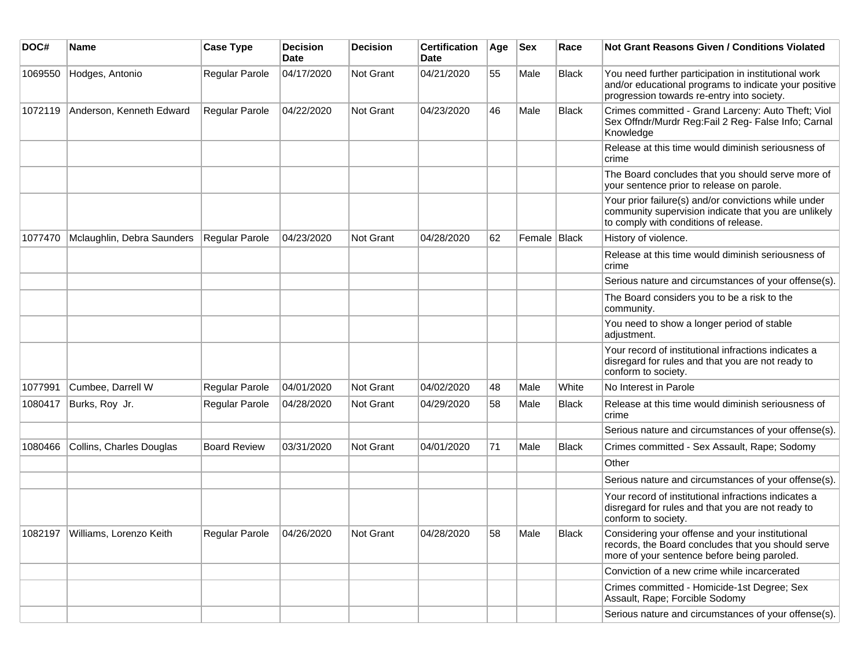| DOC#    | <b>Name</b>                       | <b>Case Type</b>    | <b>Decision</b><br><b>Date</b> | <b>Decision</b>  | <b>Certification</b><br><b>Date</b> | Age | <b>Sex</b>   | Race         | Not Grant Reasons Given / Conditions Violated                                                                                                               |
|---------|-----------------------------------|---------------------|--------------------------------|------------------|-------------------------------------|-----|--------------|--------------|-------------------------------------------------------------------------------------------------------------------------------------------------------------|
| 1069550 | Hodges, Antonio                   | Regular Parole      | 04/17/2020                     | Not Grant        | 04/21/2020                          | 55  | Male         | Black        | You need further participation in institutional work<br>and/or educational programs to indicate your positive<br>progression towards re-entry into society. |
| 1072119 | Anderson, Kenneth Edward          | Regular Parole      | 04/22/2020                     | Not Grant        | 04/23/2020                          | 46  | Male         | <b>Black</b> | Crimes committed - Grand Larceny: Auto Theft; Viol<br>Sex Offndr/Murdr Reg:Fail 2 Reg- False Info; Carnal<br>Knowledge                                      |
|         |                                   |                     |                                |                  |                                     |     |              |              | Release at this time would diminish seriousness of<br>crime                                                                                                 |
|         |                                   |                     |                                |                  |                                     |     |              |              | The Board concludes that you should serve more of<br>your sentence prior to release on parole.                                                              |
|         |                                   |                     |                                |                  |                                     |     |              |              | Your prior failure(s) and/or convictions while under<br>community supervision indicate that you are unlikely<br>to comply with conditions of release.       |
| 1077470 | Mclaughlin, Debra Saunders        | Regular Parole      | 04/23/2020                     | <b>Not Grant</b> | 04/28/2020                          | 62  | Female Black |              | History of violence.                                                                                                                                        |
|         |                                   |                     |                                |                  |                                     |     |              |              | Release at this time would diminish seriousness of<br>crime                                                                                                 |
|         |                                   |                     |                                |                  |                                     |     |              |              | Serious nature and circumstances of your offense(s).                                                                                                        |
|         |                                   |                     |                                |                  |                                     |     |              |              | The Board considers you to be a risk to the<br>community.                                                                                                   |
|         |                                   |                     |                                |                  |                                     |     |              |              | You need to show a longer period of stable<br>adjustment.                                                                                                   |
|         |                                   |                     |                                |                  |                                     |     |              |              | Your record of institutional infractions indicates a<br>disregard for rules and that you are not ready to<br>conform to society.                            |
| 1077991 | Cumbee, Darrell W                 | Regular Parole      | 04/01/2020                     | Not Grant        | 04/02/2020                          | 48  | Male         | White        | No Interest in Parole                                                                                                                                       |
| 1080417 | Burks, Roy Jr.                    | Regular Parole      | 04/28/2020                     | Not Grant        | 04/29/2020                          | 58  | Male         | <b>Black</b> | Release at this time would diminish seriousness of<br>crime                                                                                                 |
|         |                                   |                     |                                |                  |                                     |     |              |              | Serious nature and circumstances of your offense(s).                                                                                                        |
| 1080466 | Collins, Charles Douglas          | <b>Board Review</b> | 03/31/2020                     | Not Grant        | 04/01/2020                          | 71  | Male         | <b>Black</b> | Crimes committed - Sex Assault, Rape; Sodomy                                                                                                                |
|         |                                   |                     |                                |                  |                                     |     |              |              | Other                                                                                                                                                       |
|         |                                   |                     |                                |                  |                                     |     |              |              | Serious nature and circumstances of your offense(s).                                                                                                        |
|         |                                   |                     |                                |                  |                                     |     |              |              | Your record of institutional infractions indicates a<br>disregard for rules and that you are not ready to<br>conform to society.                            |
|         | 1082197   Williams, Lorenzo Keith | Regular Parole      | 04/26/2020                     | Not Grant        | 04/28/2020                          | 58  | Male         | <b>Black</b> | Considering your offense and your institutional<br>records, the Board concludes that you should serve<br>more of your sentence before being paroled.        |
|         |                                   |                     |                                |                  |                                     |     |              |              | Conviction of a new crime while incarcerated                                                                                                                |
|         |                                   |                     |                                |                  |                                     |     |              |              | Crimes committed - Homicide-1st Degree; Sex<br>Assault, Rape; Forcible Sodomy                                                                               |
|         |                                   |                     |                                |                  |                                     |     |              |              | Serious nature and circumstances of your offense(s).                                                                                                        |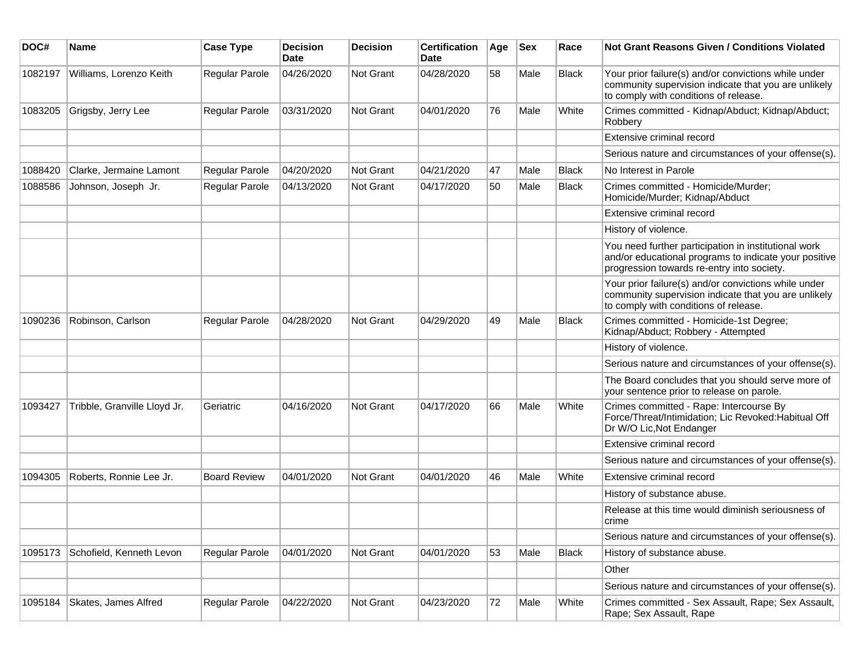| DOC#    | Name                         | <b>Case Type</b>      | <b>Decision</b><br><b>Date</b> | <b>Decision</b> | <b>Certification</b><br>Date | Age | <b>Sex</b> | Race         | <b>Not Grant Reasons Given / Conditions Violated</b>                                                                                                        |
|---------|------------------------------|-----------------------|--------------------------------|-----------------|------------------------------|-----|------------|--------------|-------------------------------------------------------------------------------------------------------------------------------------------------------------|
| 1082197 | Williams, Lorenzo Keith      | Regular Parole        | 04/26/2020                     | Not Grant       | 04/28/2020                   | 58  | Male       | <b>Black</b> | Your prior failure(s) and/or convictions while under<br>community supervision indicate that you are unlikely<br>to comply with conditions of release.       |
| 1083205 | Grigsby, Jerry Lee           | Regular Parole        | 03/31/2020                     | Not Grant       | 04/01/2020                   | 76  | Male       | White        | Crimes committed - Kidnap/Abduct; Kidnap/Abduct;<br>Robbery                                                                                                 |
|         |                              |                       |                                |                 |                              |     |            |              | Extensive criminal record                                                                                                                                   |
|         |                              |                       |                                |                 |                              |     |            |              | Serious nature and circumstances of your offense(s).                                                                                                        |
| 1088420 | Clarke, Jermaine Lamont      | Regular Parole        | 04/20/2020                     | Not Grant       | 04/21/2020                   | 47  | Male       | Black        | No Interest in Parole                                                                                                                                       |
| 1088586 | Johnson, Joseph Jr.          | Regular Parole        | 04/13/2020                     | Not Grant       | 04/17/2020                   | 50  | Male       | Black        | Crimes committed - Homicide/Murder;<br>Homicide/Murder; Kidnap/Abduct                                                                                       |
|         |                              |                       |                                |                 |                              |     |            |              | Extensive criminal record                                                                                                                                   |
|         |                              |                       |                                |                 |                              |     |            |              | History of violence.                                                                                                                                        |
|         |                              |                       |                                |                 |                              |     |            |              | You need further participation in institutional work<br>and/or educational programs to indicate your positive<br>progression towards re-entry into society. |
|         |                              |                       |                                |                 |                              |     |            |              | Your prior failure(s) and/or convictions while under<br>community supervision indicate that you are unlikely<br>to comply with conditions of release.       |
| 1090236 | Robinson, Carlson            | Regular Parole        | 04/28/2020                     | Not Grant       | 04/29/2020                   | 49  | Male       | <b>Black</b> | Crimes committed - Homicide-1st Degree;<br>Kidnap/Abduct; Robbery - Attempted                                                                               |
|         |                              |                       |                                |                 |                              |     |            |              | History of violence.                                                                                                                                        |
|         |                              |                       |                                |                 |                              |     |            |              | Serious nature and circumstances of your offense(s).                                                                                                        |
|         |                              |                       |                                |                 |                              |     |            |              | The Board concludes that you should serve more of<br>your sentence prior to release on parole.                                                              |
| 1093427 | Tribble, Granville Lloyd Jr. | Geriatric             | 04/16/2020                     | Not Grant       | 04/17/2020                   | 66  | Male       | White        | Crimes committed - Rape: Intercourse By<br>Force/Threat/Intimidation; Lic Revoked:Habitual Off<br>Dr W/O Lic, Not Endanger                                  |
|         |                              |                       |                                |                 |                              |     |            |              | Extensive criminal record                                                                                                                                   |
|         |                              |                       |                                |                 |                              |     |            |              | Serious nature and circumstances of your offense(s).                                                                                                        |
| 1094305 | Roberts, Ronnie Lee Jr.      | <b>Board Review</b>   | 04/01/2020                     | Not Grant       | 04/01/2020                   | 46  | Male       | White        | Extensive criminal record                                                                                                                                   |
|         |                              |                       |                                |                 |                              |     |            |              | History of substance abuse.                                                                                                                                 |
|         |                              |                       |                                |                 |                              |     |            |              | Release at this time would diminish seriousness of<br>crime                                                                                                 |
|         |                              |                       |                                |                 |                              |     |            |              | Serious nature and circumstances of your offense(s).                                                                                                        |
| 1095173 | Schofield, Kenneth Levon     | <b>Regular Parole</b> | 04/01/2020                     | Not Grant       | 04/01/2020                   | 53  | Male       | <b>Black</b> | History of substance abuse.                                                                                                                                 |
|         |                              |                       |                                |                 |                              |     |            |              | Other                                                                                                                                                       |
|         |                              |                       |                                |                 |                              |     |            |              | Serious nature and circumstances of your offense(s).                                                                                                        |
| 1095184 | Skates, James Alfred         | Regular Parole        | 04/22/2020                     | Not Grant       | 04/23/2020                   | 72  | Male       | White        | Crimes committed - Sex Assault, Rape; Sex Assault,<br>Rape; Sex Assault, Rape                                                                               |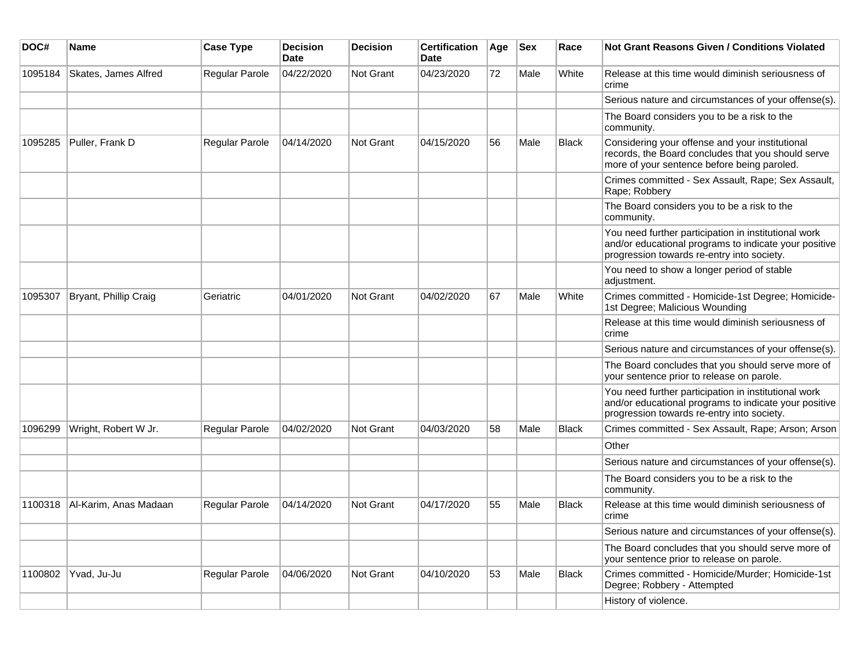| DOC#    | Name                  | <b>Case Type</b>      | <b>Decision</b><br><b>Date</b> | <b>Decision</b>  | <b>Certification</b><br><b>Date</b> | Age | <b>Sex</b> | Race         | <b>Not Grant Reasons Given / Conditions Violated</b>                                                                                                        |
|---------|-----------------------|-----------------------|--------------------------------|------------------|-------------------------------------|-----|------------|--------------|-------------------------------------------------------------------------------------------------------------------------------------------------------------|
| 1095184 | Skates, James Alfred  | Regular Parole        | 04/22/2020                     | Not Grant        | 04/23/2020                          | 72  | Male       | White        | Release at this time would diminish seriousness of<br>crime                                                                                                 |
|         |                       |                       |                                |                  |                                     |     |            |              | Serious nature and circumstances of your offense(s).                                                                                                        |
|         |                       |                       |                                |                  |                                     |     |            |              | The Board considers you to be a risk to the<br>community.                                                                                                   |
| 1095285 | Puller, Frank D       | Regular Parole        | 04/14/2020                     | Not Grant        | 04/15/2020                          | 56  | Male       | <b>Black</b> | Considering your offense and your institutional<br>records, the Board concludes that you should serve<br>more of your sentence before being paroled.        |
|         |                       |                       |                                |                  |                                     |     |            |              | Crimes committed - Sex Assault, Rape; Sex Assault,<br>Rape; Robbery                                                                                         |
|         |                       |                       |                                |                  |                                     |     |            |              | The Board considers you to be a risk to the<br>community.                                                                                                   |
|         |                       |                       |                                |                  |                                     |     |            |              | You need further participation in institutional work<br>and/or educational programs to indicate your positive<br>progression towards re-entry into society. |
|         |                       |                       |                                |                  |                                     |     |            |              | You need to show a longer period of stable<br>adjustment.                                                                                                   |
| 1095307 | Bryant, Phillip Craig | Geriatric             | 04/01/2020                     | Not Grant        | 04/02/2020                          | 67  | Male       | White        | Crimes committed - Homicide-1st Degree; Homicide-<br>1st Degree; Malicious Wounding                                                                         |
|         |                       |                       |                                |                  |                                     |     |            |              | Release at this time would diminish seriousness of<br>crime                                                                                                 |
|         |                       |                       |                                |                  |                                     |     |            |              | Serious nature and circumstances of your offense(s).                                                                                                        |
|         |                       |                       |                                |                  |                                     |     |            |              | The Board concludes that you should serve more of<br>your sentence prior to release on parole.                                                              |
|         |                       |                       |                                |                  |                                     |     |            |              | You need further participation in institutional work<br>and/or educational programs to indicate your positive<br>progression towards re-entry into society. |
| 1096299 | Wright, Robert W Jr.  | Regular Parole        | 04/02/2020                     | <b>Not Grant</b> | 04/03/2020                          | 58  | Male       | <b>Black</b> | Crimes committed - Sex Assault, Rape; Arson; Arson                                                                                                          |
|         |                       |                       |                                |                  |                                     |     |            |              | Other                                                                                                                                                       |
|         |                       |                       |                                |                  |                                     |     |            |              | Serious nature and circumstances of your offense(s).                                                                                                        |
|         |                       |                       |                                |                  |                                     |     |            |              | The Board considers you to be a risk to the<br>community.                                                                                                   |
| 1100318 | Al-Karim, Anas Madaan | Regular Parole        | 04/14/2020                     | <b>Not Grant</b> | 04/17/2020                          | 55  | Male       | <b>Black</b> | Release at this time would diminish seriousness of<br>crime                                                                                                 |
|         |                       |                       |                                |                  |                                     |     |            |              | Serious nature and circumstances of your offense(s).                                                                                                        |
|         |                       |                       |                                |                  |                                     |     |            |              | The Board concludes that you should serve more of<br>your sentence prior to release on parole.                                                              |
| 1100802 | Yvad, Ju-Ju           | <b>Regular Parole</b> | 04/06/2020                     | Not Grant        | 04/10/2020                          | 53  | Male       | Black        | Crimes committed - Homicide/Murder; Homicide-1st<br>Degree; Robbery - Attempted                                                                             |
|         |                       |                       |                                |                  |                                     |     |            |              | History of violence.                                                                                                                                        |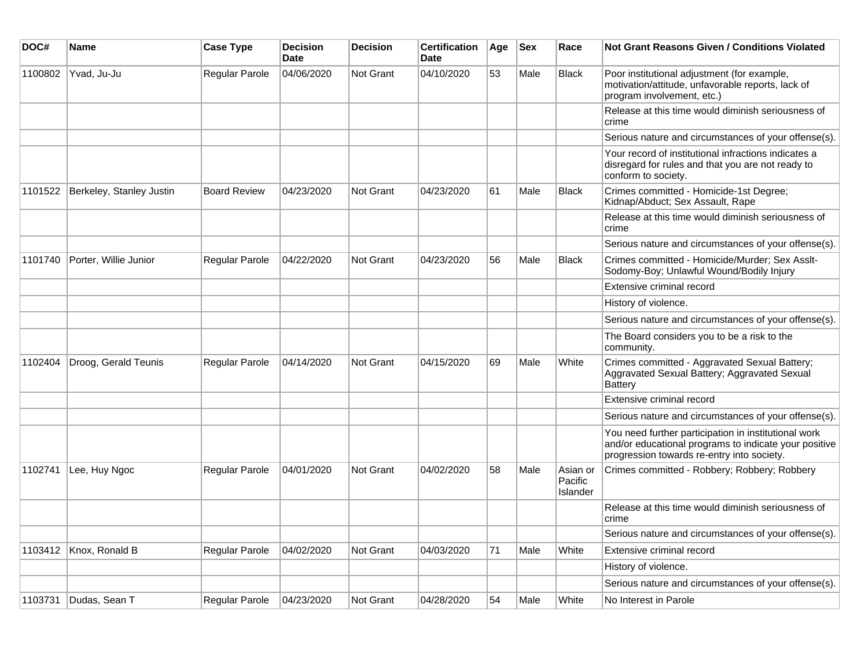| DOC#    | <b>Name</b>              | <b>Case Type</b>    | <b>Decision</b><br><b>Date</b> | <b>Decision</b>  | <b>Certification</b><br><b>Date</b> | Age | <b>Sex</b> | Race                            | <b>Not Grant Reasons Given / Conditions Violated</b>                                                                                                        |
|---------|--------------------------|---------------------|--------------------------------|------------------|-------------------------------------|-----|------------|---------------------------------|-------------------------------------------------------------------------------------------------------------------------------------------------------------|
| 1100802 | Yvad, Ju-Ju              | Regular Parole      | 04/06/2020                     | Not Grant        | 04/10/2020                          | 53  | Male       | <b>Black</b>                    | Poor institutional adjustment (for example,<br>motivation/attitude, unfavorable reports, lack of<br>program involvement, etc.)                              |
|         |                          |                     |                                |                  |                                     |     |            |                                 | Release at this time would diminish seriousness of<br>crime                                                                                                 |
|         |                          |                     |                                |                  |                                     |     |            |                                 | Serious nature and circumstances of your offense(s).                                                                                                        |
|         |                          |                     |                                |                  |                                     |     |            |                                 | Your record of institutional infractions indicates a<br>disregard for rules and that you are not ready to<br>conform to society.                            |
| 1101522 | Berkeley, Stanley Justin | <b>Board Review</b> | 04/23/2020                     | <b>Not Grant</b> | 04/23/2020                          | 61  | Male       | <b>Black</b>                    | Crimes committed - Homicide-1st Degree;<br>Kidnap/Abduct; Sex Assault, Rape                                                                                 |
|         |                          |                     |                                |                  |                                     |     |            |                                 | Release at this time would diminish seriousness of<br>crime                                                                                                 |
|         |                          |                     |                                |                  |                                     |     |            |                                 | Serious nature and circumstances of your offense(s).                                                                                                        |
| 1101740 | Porter, Willie Junior    | Regular Parole      | 04/22/2020                     | <b>Not Grant</b> | 04/23/2020                          | 56  | Male       | <b>Black</b>                    | Crimes committed - Homicide/Murder; Sex Asslt-<br>Sodomy-Boy; Unlawful Wound/Bodily Injury                                                                  |
|         |                          |                     |                                |                  |                                     |     |            |                                 | Extensive criminal record                                                                                                                                   |
|         |                          |                     |                                |                  |                                     |     |            |                                 | History of violence.                                                                                                                                        |
|         |                          |                     |                                |                  |                                     |     |            |                                 | Serious nature and circumstances of your offense(s).                                                                                                        |
|         |                          |                     |                                |                  |                                     |     |            |                                 | The Board considers you to be a risk to the<br>community.                                                                                                   |
| 1102404 | Droog, Gerald Teunis     | Regular Parole      | 04/14/2020                     | <b>Not Grant</b> | 04/15/2020                          | 69  | Male       | White                           | Crimes committed - Aggravated Sexual Battery;<br>Aggravated Sexual Battery; Aggravated Sexual<br><b>Battery</b>                                             |
|         |                          |                     |                                |                  |                                     |     |            |                                 | Extensive criminal record                                                                                                                                   |
|         |                          |                     |                                |                  |                                     |     |            |                                 | Serious nature and circumstances of your offense(s).                                                                                                        |
|         |                          |                     |                                |                  |                                     |     |            |                                 | You need further participation in institutional work<br>and/or educational programs to indicate your positive<br>progression towards re-entry into society. |
| 1102741 | Lee, Huy Ngoc            | Regular Parole      | 04/01/2020                     | <b>Not Grant</b> | 04/02/2020                          | 58  | Male       | Asian or<br>Pacific<br>Islander | Crimes committed - Robbery; Robbery; Robbery                                                                                                                |
|         |                          |                     |                                |                  |                                     |     |            |                                 | Release at this time would diminish seriousness of<br>crime                                                                                                 |
|         |                          |                     |                                |                  |                                     |     |            |                                 | Serious nature and circumstances of your offense(s).                                                                                                        |
| 1103412 | Knox, Ronald B           | Regular Parole      | 04/02/2020                     | Not Grant        | 04/03/2020                          | 71  | Male       | White                           | Extensive criminal record                                                                                                                                   |
|         |                          |                     |                                |                  |                                     |     |            |                                 | History of violence.                                                                                                                                        |
|         |                          |                     |                                |                  |                                     |     |            |                                 | Serious nature and circumstances of your offense(s).                                                                                                        |
| 1103731 | Dudas, Sean T            | Regular Parole      | 04/23/2020                     | <b>Not Grant</b> | 04/28/2020                          | 54  | Male       | White                           | No Interest in Parole                                                                                                                                       |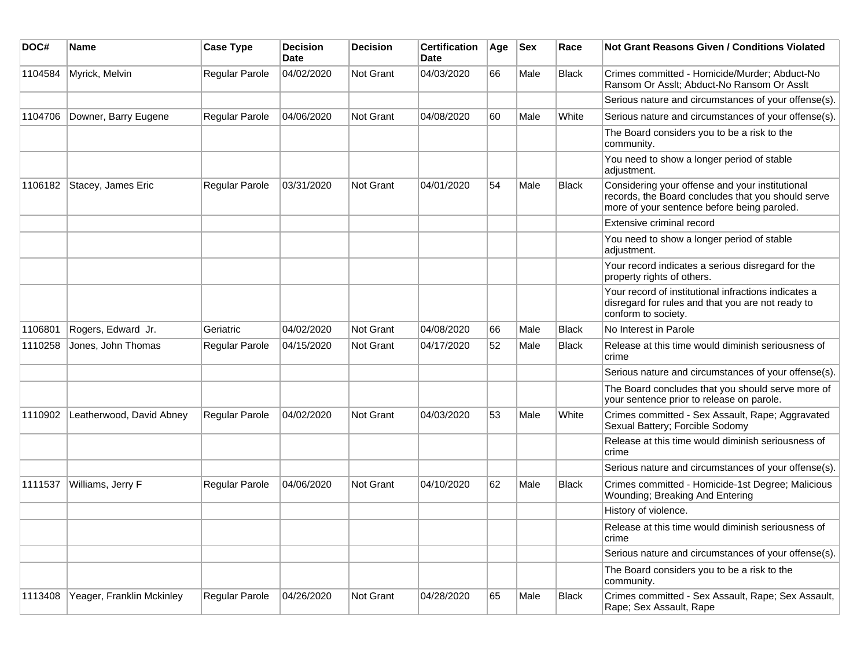| DOC#    | Name                      | <b>Case Type</b>      | <b>Decision</b><br>Date | <b>Decision</b>  | <b>Certification</b><br>Date | Age | Sex  | Race         | <b>Not Grant Reasons Given / Conditions Violated</b>                                                                                                 |
|---------|---------------------------|-----------------------|-------------------------|------------------|------------------------------|-----|------|--------------|------------------------------------------------------------------------------------------------------------------------------------------------------|
| 1104584 | Myrick, Melvin            | Regular Parole        | 04/02/2020              | Not Grant        | 04/03/2020                   | 66  | Male | <b>Black</b> | Crimes committed - Homicide/Murder; Abduct-No<br>Ransom Or Asslt; Abduct-No Ransom Or Asslt                                                          |
|         |                           |                       |                         |                  |                              |     |      |              | Serious nature and circumstances of your offense(s).                                                                                                 |
| 1104706 | Downer, Barry Eugene      | <b>Regular Parole</b> | 04/06/2020              | Not Grant        | 04/08/2020                   | 60  | Male | White        | Serious nature and circumstances of your offense(s).                                                                                                 |
|         |                           |                       |                         |                  |                              |     |      |              | The Board considers you to be a risk to the<br>community.                                                                                            |
|         |                           |                       |                         |                  |                              |     |      |              | You need to show a longer period of stable<br>adjustment.                                                                                            |
| 1106182 | Stacey, James Eric        | Regular Parole        | 03/31/2020              | Not Grant        | 04/01/2020                   | 54  | Male | <b>Black</b> | Considering your offense and your institutional<br>records, the Board concludes that you should serve<br>more of your sentence before being paroled. |
|         |                           |                       |                         |                  |                              |     |      |              | Extensive criminal record                                                                                                                            |
|         |                           |                       |                         |                  |                              |     |      |              | You need to show a longer period of stable<br>adjustment.                                                                                            |
|         |                           |                       |                         |                  |                              |     |      |              | Your record indicates a serious disregard for the<br>property rights of others.                                                                      |
|         |                           |                       |                         |                  |                              |     |      |              | Your record of institutional infractions indicates a<br>disregard for rules and that you are not ready to<br>conform to society.                     |
| 1106801 | Rogers, Edward Jr.        | Geriatric             | 04/02/2020              | Not Grant        | 04/08/2020                   | 66  | Male | <b>Black</b> | No Interest in Parole                                                                                                                                |
| 1110258 | Jones, John Thomas        | Regular Parole        | 04/15/2020              | Not Grant        | 04/17/2020                   | 52  | Male | <b>Black</b> | Release at this time would diminish seriousness of<br>crime                                                                                          |
|         |                           |                       |                         |                  |                              |     |      |              | Serious nature and circumstances of your offense(s).                                                                                                 |
|         |                           |                       |                         |                  |                              |     |      |              | The Board concludes that you should serve more of<br>your sentence prior to release on parole.                                                       |
| 1110902 | Leatherwood, David Abney  | <b>Regular Parole</b> | 04/02/2020              | Not Grant        | 04/03/2020                   | 53  | Male | White        | Crimes committed - Sex Assault, Rape; Aggravated<br>Sexual Battery; Forcible Sodomy                                                                  |
|         |                           |                       |                         |                  |                              |     |      |              | Release at this time would diminish seriousness of<br>crime                                                                                          |
|         |                           |                       |                         |                  |                              |     |      |              | Serious nature and circumstances of your offense(s).                                                                                                 |
| 1111537 | Williams, Jerry F         | Regular Parole        | 04/06/2020              | <b>Not Grant</b> | 04/10/2020                   | 62  | Male | Black        | Crimes committed - Homicide-1st Degree; Malicious<br>Wounding; Breaking And Entering                                                                 |
|         |                           |                       |                         |                  |                              |     |      |              | History of violence.                                                                                                                                 |
|         |                           |                       |                         |                  |                              |     |      |              | Release at this time would diminish seriousness of<br>crime                                                                                          |
|         |                           |                       |                         |                  |                              |     |      |              | Serious nature and circumstances of your offense(s).                                                                                                 |
|         |                           |                       |                         |                  |                              |     |      |              | The Board considers you to be a risk to the<br>community.                                                                                            |
| 1113408 | Yeager, Franklin Mckinley | Regular Parole        | 04/26/2020              | Not Grant        | 04/28/2020                   | 65  | Male | Black        | Crimes committed - Sex Assault, Rape; Sex Assault,<br>Rape; Sex Assault, Rape                                                                        |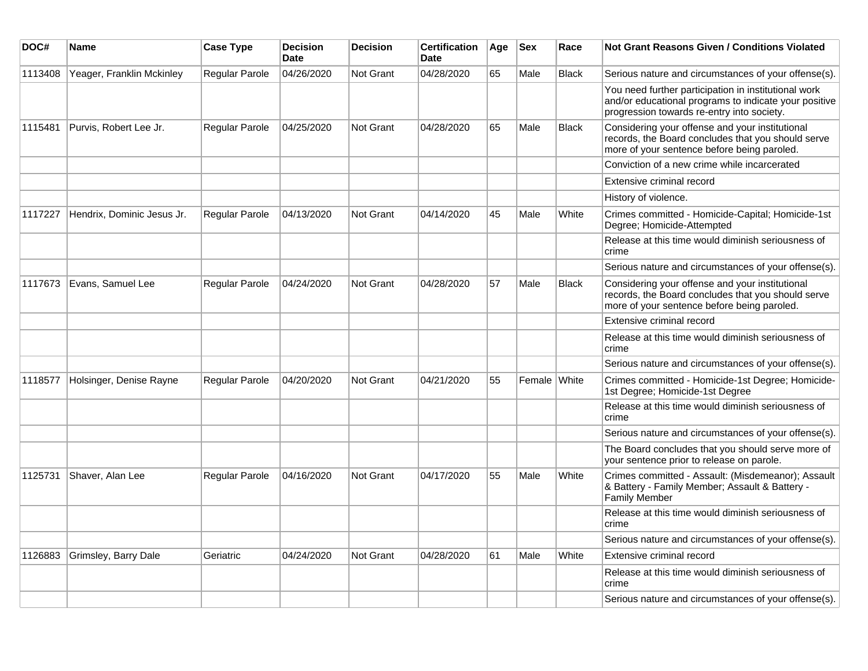| DOC#    | Name                       | <b>Case Type</b>      | <b>Decision</b><br><b>Date</b> | <b>Decision</b> | <b>Certification</b><br><b>Date</b> | Age | <b>Sex</b>   | Race         | <b>Not Grant Reasons Given / Conditions Violated</b>                                                                                                        |
|---------|----------------------------|-----------------------|--------------------------------|-----------------|-------------------------------------|-----|--------------|--------------|-------------------------------------------------------------------------------------------------------------------------------------------------------------|
| 1113408 | Yeager, Franklin Mckinley  | <b>Regular Parole</b> | 04/26/2020                     | Not Grant       | 04/28/2020                          | 65  | Male         | <b>Black</b> | Serious nature and circumstances of your offense(s).                                                                                                        |
|         |                            |                       |                                |                 |                                     |     |              |              | You need further participation in institutional work<br>and/or educational programs to indicate your positive<br>progression towards re-entry into society. |
| 1115481 | Purvis, Robert Lee Jr.     | Regular Parole        | 04/25/2020                     | Not Grant       | 04/28/2020                          | 65  | Male         | <b>Black</b> | Considering your offense and your institutional<br>records, the Board concludes that you should serve<br>more of your sentence before being paroled.        |
|         |                            |                       |                                |                 |                                     |     |              |              | Conviction of a new crime while incarcerated                                                                                                                |
|         |                            |                       |                                |                 |                                     |     |              |              | Extensive criminal record                                                                                                                                   |
|         |                            |                       |                                |                 |                                     |     |              |              | History of violence.                                                                                                                                        |
| 1117227 | Hendrix, Dominic Jesus Jr. | Regular Parole        | 04/13/2020                     | Not Grant       | 04/14/2020                          | 45  | Male         | White        | Crimes committed - Homicide-Capital; Homicide-1st<br>Degree; Homicide-Attempted                                                                             |
|         |                            |                       |                                |                 |                                     |     |              |              | Release at this time would diminish seriousness of<br>crime                                                                                                 |
|         |                            |                       |                                |                 |                                     |     |              |              | Serious nature and circumstances of your offense(s).                                                                                                        |
| 1117673 | Evans, Samuel Lee          | Regular Parole        | 04/24/2020                     | Not Grant       | 04/28/2020                          | 57  | Male         | <b>Black</b> | Considering your offense and your institutional<br>records, the Board concludes that you should serve<br>more of your sentence before being paroled.        |
|         |                            |                       |                                |                 |                                     |     |              |              | Extensive criminal record                                                                                                                                   |
|         |                            |                       |                                |                 |                                     |     |              |              | Release at this time would diminish seriousness of<br>crime                                                                                                 |
|         |                            |                       |                                |                 |                                     |     |              |              | Serious nature and circumstances of your offense(s).                                                                                                        |
| 1118577 | Holsinger, Denise Rayne    | Regular Parole        | 04/20/2020                     | Not Grant       | 04/21/2020                          | 55  | Female White |              | Crimes committed - Homicide-1st Degree; Homicide-<br>1st Degree; Homicide-1st Degree                                                                        |
|         |                            |                       |                                |                 |                                     |     |              |              | Release at this time would diminish seriousness of<br>crime                                                                                                 |
|         |                            |                       |                                |                 |                                     |     |              |              | Serious nature and circumstances of your offense(s).                                                                                                        |
|         |                            |                       |                                |                 |                                     |     |              |              | The Board concludes that you should serve more of<br>your sentence prior to release on parole.                                                              |
| 1125731 | Shaver, Alan Lee           | Regular Parole        | 04/16/2020                     | Not Grant       | 04/17/2020                          | 55  | Male         | White        | Crimes committed - Assault: (Misdemeanor); Assault<br>& Battery - Family Member; Assault & Battery -<br><b>Family Member</b>                                |
|         |                            |                       |                                |                 |                                     |     |              |              | Release at this time would diminish seriousness of<br>crime                                                                                                 |
|         |                            |                       |                                |                 |                                     |     |              |              | Serious nature and circumstances of your offense(s).                                                                                                        |
| 1126883 | Grimsley, Barry Dale       | Geriatric             | 04/24/2020                     | Not Grant       | 04/28/2020                          | 61  | Male         | White        | Extensive criminal record                                                                                                                                   |
|         |                            |                       |                                |                 |                                     |     |              |              | Release at this time would diminish seriousness of<br>crime                                                                                                 |
|         |                            |                       |                                |                 |                                     |     |              |              | Serious nature and circumstances of your offense(s).                                                                                                        |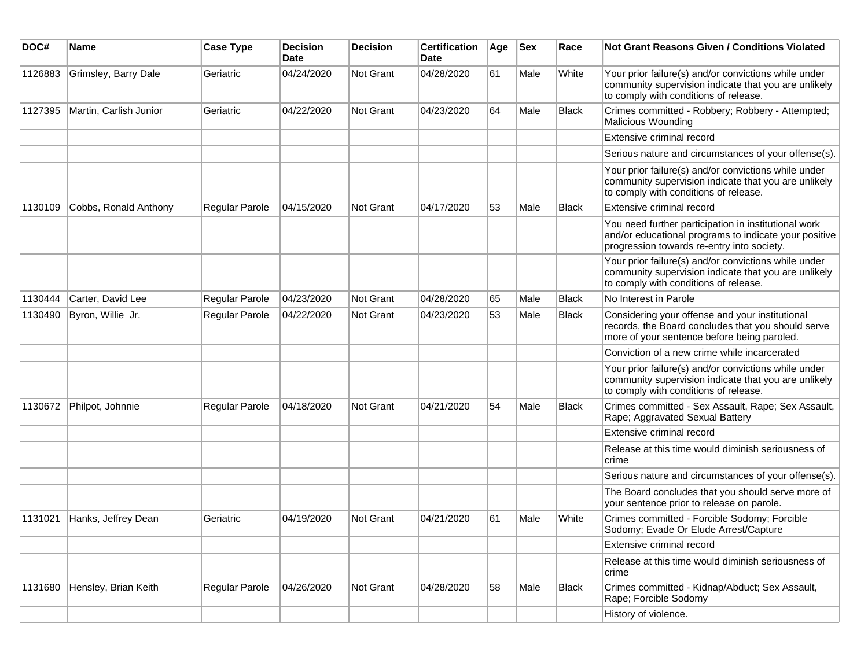| DOC#    | <b>Name</b>            | <b>Case Type</b>      | <b>Decision</b><br><b>Date</b> | <b>Decision</b> | <b>Certification</b><br>Date | Age | <b>Sex</b> | Race         | <b>Not Grant Reasons Given / Conditions Violated</b>                                                                                                        |
|---------|------------------------|-----------------------|--------------------------------|-----------------|------------------------------|-----|------------|--------------|-------------------------------------------------------------------------------------------------------------------------------------------------------------|
| 1126883 | Grimsley, Barry Dale   | Geriatric             | 04/24/2020                     | Not Grant       | 04/28/2020                   | 61  | Male       | White        | Your prior failure(s) and/or convictions while under<br>community supervision indicate that you are unlikely<br>to comply with conditions of release.       |
| 1127395 | Martin, Carlish Junior | Geriatric             | 04/22/2020                     | Not Grant       | 04/23/2020                   | 64  | Male       | <b>Black</b> | Crimes committed - Robbery; Robbery - Attempted;<br><b>Malicious Wounding</b>                                                                               |
|         |                        |                       |                                |                 |                              |     |            |              | Extensive criminal record                                                                                                                                   |
|         |                        |                       |                                |                 |                              |     |            |              | Serious nature and circumstances of your offense(s).                                                                                                        |
|         |                        |                       |                                |                 |                              |     |            |              | Your prior failure(s) and/or convictions while under<br>community supervision indicate that you are unlikely<br>to comply with conditions of release.       |
| 1130109 | Cobbs, Ronald Anthony  | <b>Regular Parole</b> | 04/15/2020                     | Not Grant       | 04/17/2020                   | 53  | Male       | <b>Black</b> | Extensive criminal record                                                                                                                                   |
|         |                        |                       |                                |                 |                              |     |            |              | You need further participation in institutional work<br>and/or educational programs to indicate your positive<br>progression towards re-entry into society. |
|         |                        |                       |                                |                 |                              |     |            |              | Your prior failure(s) and/or convictions while under<br>community supervision indicate that you are unlikely<br>to comply with conditions of release.       |
| 1130444 | Carter, David Lee      | Regular Parole        | 04/23/2020                     | Not Grant       | 04/28/2020                   | 65  | Male       | <b>Black</b> | No Interest in Parole                                                                                                                                       |
| 1130490 | Byron, Willie Jr.      | Regular Parole        | 04/22/2020                     | Not Grant       | 04/23/2020                   | 53  | Male       | <b>Black</b> | Considering your offense and your institutional<br>records, the Board concludes that you should serve<br>more of your sentence before being paroled.        |
|         |                        |                       |                                |                 |                              |     |            |              | Conviction of a new crime while incarcerated                                                                                                                |
|         |                        |                       |                                |                 |                              |     |            |              | Your prior failure(s) and/or convictions while under<br>community supervision indicate that you are unlikely<br>to comply with conditions of release.       |
| 1130672 | Philpot, Johnnie       | Regular Parole        | 04/18/2020                     | Not Grant       | 04/21/2020                   | 54  | Male       | <b>Black</b> | Crimes committed - Sex Assault, Rape; Sex Assault,<br>Rape; Aggravated Sexual Battery                                                                       |
|         |                        |                       |                                |                 |                              |     |            |              | Extensive criminal record                                                                                                                                   |
|         |                        |                       |                                |                 |                              |     |            |              | Release at this time would diminish seriousness of<br>crime                                                                                                 |
|         |                        |                       |                                |                 |                              |     |            |              | Serious nature and circumstances of your offense(s).                                                                                                        |
|         |                        |                       |                                |                 |                              |     |            |              | The Board concludes that you should serve more of<br>your sentence prior to release on parole.                                                              |
| 1131021 | Hanks, Jeffrey Dean    | Geriatric             | 04/19/2020                     | Not Grant       | 04/21/2020                   | 61  | Male       | White        | Crimes committed - Forcible Sodomy; Forcible<br>Sodomy; Evade Or Elude Arrest/Capture                                                                       |
|         |                        |                       |                                |                 |                              |     |            |              | Extensive criminal record                                                                                                                                   |
|         |                        |                       |                                |                 |                              |     |            |              | Release at this time would diminish seriousness of<br>crime                                                                                                 |
| 1131680 | Hensley, Brian Keith   | Regular Parole        | 04/26/2020                     | Not Grant       | 04/28/2020                   | 58  | Male       | <b>Black</b> | Crimes committed - Kidnap/Abduct; Sex Assault,<br>Rape; Forcible Sodomy                                                                                     |
|         |                        |                       |                                |                 |                              |     |            |              | History of violence.                                                                                                                                        |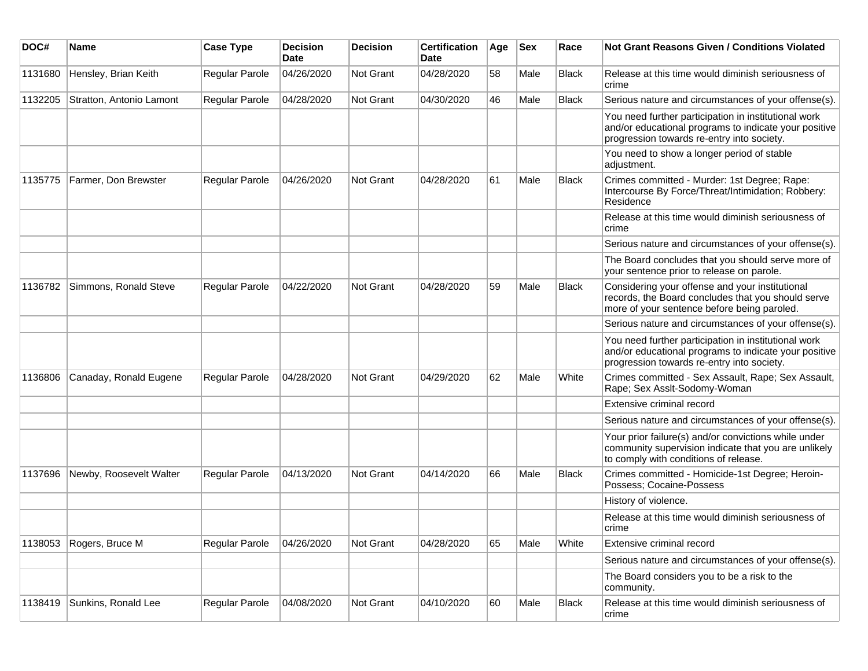| DOC#    | Name                     | <b>Case Type</b> | <b>Decision</b><br><b>Date</b> | <b>Decision</b>  | <b>Certification</b><br>Date | Age | <b>Sex</b> | Race         | Not Grant Reasons Given / Conditions Violated                                                                                                               |
|---------|--------------------------|------------------|--------------------------------|------------------|------------------------------|-----|------------|--------------|-------------------------------------------------------------------------------------------------------------------------------------------------------------|
| 1131680 | Hensley, Brian Keith     | Regular Parole   | 04/26/2020                     | Not Grant        | 04/28/2020                   | 58  | Male       | Black        | Release at this time would diminish seriousness of<br>crime                                                                                                 |
| 1132205 | Stratton, Antonio Lamont | Regular Parole   | 04/28/2020                     | Not Grant        | 04/30/2020                   | 46  | Male       | <b>Black</b> | Serious nature and circumstances of your offense(s).                                                                                                        |
|         |                          |                  |                                |                  |                              |     |            |              | You need further participation in institutional work<br>and/or educational programs to indicate your positive<br>progression towards re-entry into society. |
|         |                          |                  |                                |                  |                              |     |            |              | You need to show a longer period of stable<br>adjustment.                                                                                                   |
| 1135775 | Farmer, Don Brewster     | Regular Parole   | 04/26/2020                     | Not Grant        | 04/28/2020                   | 61  | Male       | <b>Black</b> | Crimes committed - Murder: 1st Degree; Rape:<br>Intercourse By Force/Threat/Intimidation; Robbery:<br>Residence                                             |
|         |                          |                  |                                |                  |                              |     |            |              | Release at this time would diminish seriousness of<br>crime                                                                                                 |
|         |                          |                  |                                |                  |                              |     |            |              | Serious nature and circumstances of your offense(s).                                                                                                        |
|         |                          |                  |                                |                  |                              |     |            |              | The Board concludes that you should serve more of<br>your sentence prior to release on parole.                                                              |
| 1136782 | Simmons, Ronald Steve    | Regular Parole   | 04/22/2020                     | <b>Not Grant</b> | 04/28/2020                   | 59  | Male       | <b>Black</b> | Considering your offense and your institutional<br>records, the Board concludes that you should serve<br>more of your sentence before being paroled.        |
|         |                          |                  |                                |                  |                              |     |            |              | Serious nature and circumstances of your offense(s).                                                                                                        |
|         |                          |                  |                                |                  |                              |     |            |              | You need further participation in institutional work<br>and/or educational programs to indicate your positive<br>progression towards re-entry into society. |
| 1136806 | Canaday, Ronald Eugene   | Regular Parole   | 04/28/2020                     | Not Grant        | 04/29/2020                   | 62  | Male       | White        | Crimes committed - Sex Assault, Rape; Sex Assault,<br>Rape; Sex Asslt-Sodomy-Woman                                                                          |
|         |                          |                  |                                |                  |                              |     |            |              | Extensive criminal record                                                                                                                                   |
|         |                          |                  |                                |                  |                              |     |            |              | Serious nature and circumstances of your offense(s).                                                                                                        |
|         |                          |                  |                                |                  |                              |     |            |              | Your prior failure(s) and/or convictions while under<br>community supervision indicate that you are unlikely<br>to comply with conditions of release.       |
| 1137696 | Newby, Roosevelt Walter  | Regular Parole   | 04/13/2020                     | <b>Not Grant</b> | 04/14/2020                   | 66  | Male       | <b>Black</b> | Crimes committed - Homicide-1st Degree; Heroin-<br>Possess; Cocaine-Possess                                                                                 |
|         |                          |                  |                                |                  |                              |     |            |              | History of violence.                                                                                                                                        |
|         |                          |                  |                                |                  |                              |     |            |              | Release at this time would diminish seriousness of<br>crime                                                                                                 |
| 1138053 | Rogers, Bruce M          | Regular Parole   | 04/26/2020                     | Not Grant        | 04/28/2020                   | 65  | Male       | White        | Extensive criminal record                                                                                                                                   |
|         |                          |                  |                                |                  |                              |     |            |              | Serious nature and circumstances of your offense(s).                                                                                                        |
|         |                          |                  |                                |                  |                              |     |            |              | The Board considers you to be a risk to the<br>community.                                                                                                   |
| 1138419 | Sunkins, Ronald Lee      | Regular Parole   | 04/08/2020                     | Not Grant        | 04/10/2020                   | 60  | Male       | <b>Black</b> | Release at this time would diminish seriousness of<br>crime                                                                                                 |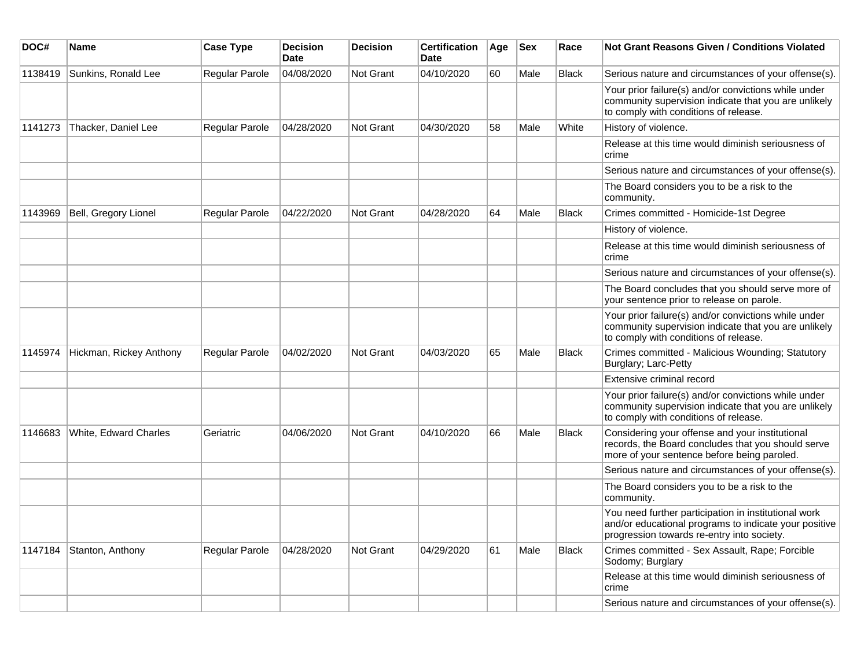| DOC#    | <b>Name</b>             | <b>Case Type</b> | <b>Decision</b><br><b>Date</b> | <b>Decision</b> | <b>Certification</b><br><b>Date</b> | Age | <b>Sex</b> | Race         | <b>Not Grant Reasons Given / Conditions Violated</b>                                                                                                        |
|---------|-------------------------|------------------|--------------------------------|-----------------|-------------------------------------|-----|------------|--------------|-------------------------------------------------------------------------------------------------------------------------------------------------------------|
| 1138419 | Sunkins, Ronald Lee     | Regular Parole   | 04/08/2020                     | Not Grant       | 04/10/2020                          | 60  | Male       | <b>Black</b> | Serious nature and circumstances of your offense(s).                                                                                                        |
|         |                         |                  |                                |                 |                                     |     |            |              | Your prior failure(s) and/or convictions while under<br>community supervision indicate that you are unlikely<br>to comply with conditions of release.       |
| 1141273 | Thacker, Daniel Lee     | Regular Parole   | 04/28/2020                     | Not Grant       | 04/30/2020                          | 58  | Male       | White        | History of violence.                                                                                                                                        |
|         |                         |                  |                                |                 |                                     |     |            |              | Release at this time would diminish seriousness of<br>crime                                                                                                 |
|         |                         |                  |                                |                 |                                     |     |            |              | Serious nature and circumstances of your offense(s).                                                                                                        |
|         |                         |                  |                                |                 |                                     |     |            |              | The Board considers you to be a risk to the<br>community.                                                                                                   |
| 1143969 | Bell, Gregory Lionel    | Regular Parole   | 04/22/2020                     | Not Grant       | 04/28/2020                          | 64  | Male       | <b>Black</b> | Crimes committed - Homicide-1st Degree                                                                                                                      |
|         |                         |                  |                                |                 |                                     |     |            |              | History of violence.                                                                                                                                        |
|         |                         |                  |                                |                 |                                     |     |            |              | Release at this time would diminish seriousness of<br>crime                                                                                                 |
|         |                         |                  |                                |                 |                                     |     |            |              | Serious nature and circumstances of your offense(s).                                                                                                        |
|         |                         |                  |                                |                 |                                     |     |            |              | The Board concludes that you should serve more of<br>your sentence prior to release on parole.                                                              |
|         |                         |                  |                                |                 |                                     |     |            |              | Your prior failure(s) and/or convictions while under<br>community supervision indicate that you are unlikely<br>to comply with conditions of release.       |
| 1145974 | Hickman, Rickey Anthony | Regular Parole   | 04/02/2020                     | Not Grant       | 04/03/2020                          | 65  | Male       | <b>Black</b> | Crimes committed - Malicious Wounding; Statutory<br>Burglary; Larc-Petty                                                                                    |
|         |                         |                  |                                |                 |                                     |     |            |              | Extensive criminal record                                                                                                                                   |
|         |                         |                  |                                |                 |                                     |     |            |              | Your prior failure(s) and/or convictions while under<br>community supervision indicate that you are unlikely<br>to comply with conditions of release.       |
| 1146683 | White, Edward Charles   | Geriatric        | 04/06/2020                     | Not Grant       | 04/10/2020                          | 66  | Male       | <b>Black</b> | Considering your offense and your institutional<br>records, the Board concludes that you should serve<br>more of your sentence before being paroled.        |
|         |                         |                  |                                |                 |                                     |     |            |              | Serious nature and circumstances of your offense(s).                                                                                                        |
|         |                         |                  |                                |                 |                                     |     |            |              | The Board considers you to be a risk to the<br>community.                                                                                                   |
|         |                         |                  |                                |                 |                                     |     |            |              | You need further participation in institutional work<br>and/or educational programs to indicate your positive<br>progression towards re-entry into society. |
| 1147184 | Stanton, Anthony        | Regular Parole   | 04/28/2020                     | Not Grant       | 04/29/2020                          | 61  | Male       | <b>Black</b> | Crimes committed - Sex Assault, Rape; Forcible<br>Sodomy; Burglary                                                                                          |
|         |                         |                  |                                |                 |                                     |     |            |              | Release at this time would diminish seriousness of<br>crime                                                                                                 |
|         |                         |                  |                                |                 |                                     |     |            |              | Serious nature and circumstances of your offense(s).                                                                                                        |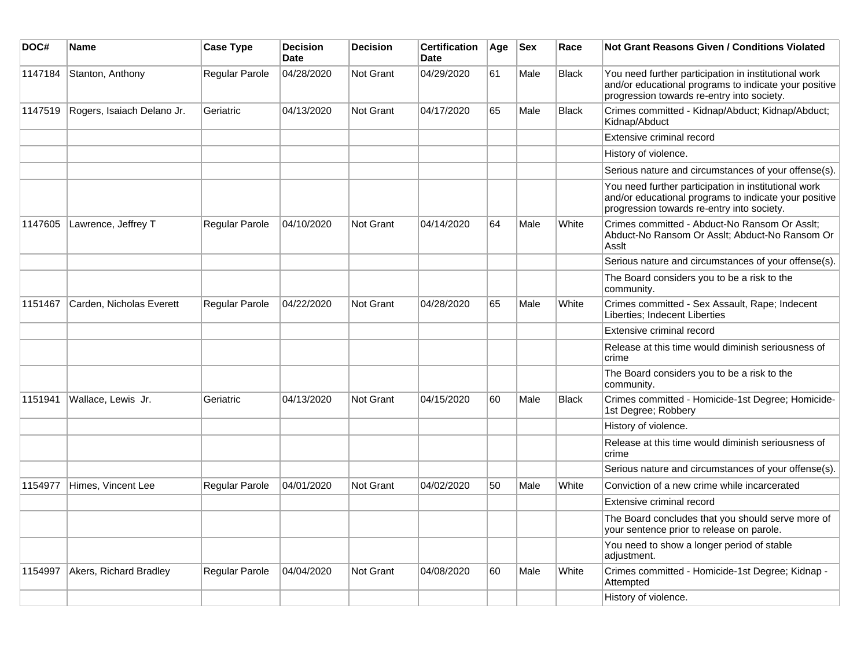| DOC#    | Name                       | <b>Case Type</b> | <b>Decision</b><br><b>Date</b> | <b>Decision</b> | Certification<br><b>Date</b> | Age | <b>Sex</b> | Race         | Not Grant Reasons Given / Conditions Violated                                                                                                               |
|---------|----------------------------|------------------|--------------------------------|-----------------|------------------------------|-----|------------|--------------|-------------------------------------------------------------------------------------------------------------------------------------------------------------|
| 1147184 | Stanton, Anthony           | Regular Parole   | 04/28/2020                     | Not Grant       | 04/29/2020                   | 61  | Male       | Black        | You need further participation in institutional work<br>and/or educational programs to indicate your positive<br>progression towards re-entry into society. |
| 1147519 | Rogers, Isaiach Delano Jr. | Geriatric        | 04/13/2020                     | Not Grant       | 04/17/2020                   | 65  | Male       | <b>Black</b> | Crimes committed - Kidnap/Abduct; Kidnap/Abduct;<br>Kidnap/Abduct                                                                                           |
|         |                            |                  |                                |                 |                              |     |            |              | Extensive criminal record                                                                                                                                   |
|         |                            |                  |                                |                 |                              |     |            |              | History of violence.                                                                                                                                        |
|         |                            |                  |                                |                 |                              |     |            |              | Serious nature and circumstances of your offense(s).                                                                                                        |
|         |                            |                  |                                |                 |                              |     |            |              | You need further participation in institutional work<br>and/or educational programs to indicate your positive<br>progression towards re-entry into society. |
| 1147605 | Lawrence, Jeffrey T        | Regular Parole   | 04/10/2020                     | Not Grant       | 04/14/2020                   | 64  | Male       | White        | Crimes committed - Abduct-No Ransom Or Asslt;<br>Abduct-No Ransom Or Asslt; Abduct-No Ransom Or<br>Asslt                                                    |
|         |                            |                  |                                |                 |                              |     |            |              | Serious nature and circumstances of your offense(s).                                                                                                        |
|         |                            |                  |                                |                 |                              |     |            |              | The Board considers you to be a risk to the<br>community.                                                                                                   |
| 1151467 | Carden, Nicholas Everett   | Regular Parole   | 04/22/2020                     | Not Grant       | 04/28/2020                   | 65  | Male       | White        | Crimes committed - Sex Assault, Rape; Indecent<br>Liberties; Indecent Liberties                                                                             |
|         |                            |                  |                                |                 |                              |     |            |              | Extensive criminal record                                                                                                                                   |
|         |                            |                  |                                |                 |                              |     |            |              | Release at this time would diminish seriousness of<br>crime                                                                                                 |
|         |                            |                  |                                |                 |                              |     |            |              | The Board considers you to be a risk to the<br>community.                                                                                                   |
| 1151941 | Wallace, Lewis Jr.         | Geriatric        | 04/13/2020                     | Not Grant       | 04/15/2020                   | 60  | Male       | <b>Black</b> | Crimes committed - Homicide-1st Degree; Homicide-<br>1st Degree; Robbery                                                                                    |
|         |                            |                  |                                |                 |                              |     |            |              | History of violence.                                                                                                                                        |
|         |                            |                  |                                |                 |                              |     |            |              | Release at this time would diminish seriousness of<br>crime                                                                                                 |
|         |                            |                  |                                |                 |                              |     |            |              | Serious nature and circumstances of your offense(s).                                                                                                        |
| 1154977 | Himes, Vincent Lee         | Regular Parole   | 04/01/2020                     | Not Grant       | 04/02/2020                   | 50  | Male       | White        | Conviction of a new crime while incarcerated                                                                                                                |
|         |                            |                  |                                |                 |                              |     |            |              | Extensive criminal record                                                                                                                                   |
|         |                            |                  |                                |                 |                              |     |            |              | The Board concludes that you should serve more of<br>your sentence prior to release on parole.                                                              |
|         |                            |                  |                                |                 |                              |     |            |              | You need to show a longer period of stable<br>adjustment.                                                                                                   |
| 1154997 | Akers, Richard Bradley     | Regular Parole   | 04/04/2020                     | Not Grant       | 04/08/2020                   | 60  | Male       | White        | Crimes committed - Homicide-1st Degree; Kidnap -<br>Attempted                                                                                               |
|         |                            |                  |                                |                 |                              |     |            |              | History of violence.                                                                                                                                        |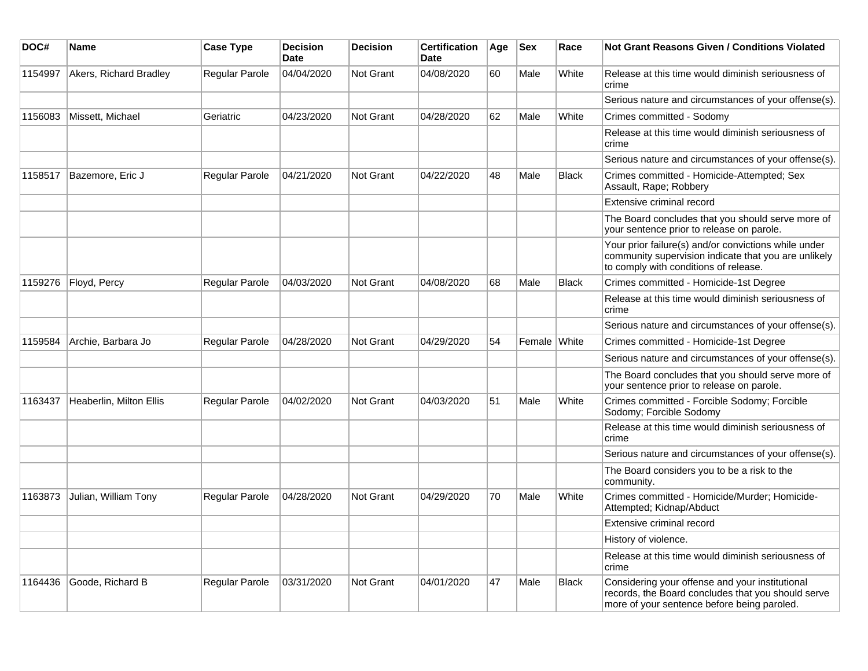| DOC#    | <b>Name</b>             | <b>Case Type</b>      | <b>Decision</b><br>Date | <b>Decision</b>  | <b>Certification</b><br>Date | Age | <b>Sex</b>   | Race         | <b>Not Grant Reasons Given / Conditions Violated</b>                                                                                                  |
|---------|-------------------------|-----------------------|-------------------------|------------------|------------------------------|-----|--------------|--------------|-------------------------------------------------------------------------------------------------------------------------------------------------------|
| 1154997 | Akers, Richard Bradley  | <b>Regular Parole</b> | 04/04/2020              | <b>Not Grant</b> | 04/08/2020                   | 60  | Male         | White        | Release at this time would diminish seriousness of<br>crime                                                                                           |
|         |                         |                       |                         |                  |                              |     |              |              | Serious nature and circumstances of your offense(s).                                                                                                  |
| 1156083 | Missett, Michael        | Geriatric             | 04/23/2020              | <b>Not Grant</b> | 04/28/2020                   | 62  | Male         | White        | Crimes committed - Sodomy                                                                                                                             |
|         |                         |                       |                         |                  |                              |     |              |              | Release at this time would diminish seriousness of<br>crime                                                                                           |
|         |                         |                       |                         |                  |                              |     |              |              | Serious nature and circumstances of your offense(s).                                                                                                  |
| 1158517 | Bazemore, Eric J        | Regular Parole        | 04/21/2020              | <b>Not Grant</b> | 04/22/2020                   | 48  | Male         | <b>Black</b> | Crimes committed - Homicide-Attempted; Sex<br>Assault, Rape; Robbery                                                                                  |
|         |                         |                       |                         |                  |                              |     |              |              | Extensive criminal record                                                                                                                             |
|         |                         |                       |                         |                  |                              |     |              |              | The Board concludes that you should serve more of<br>your sentence prior to release on parole.                                                        |
|         |                         |                       |                         |                  |                              |     |              |              | Your prior failure(s) and/or convictions while under<br>community supervision indicate that you are unlikely<br>to comply with conditions of release. |
| 1159276 | Floyd, Percy            | Regular Parole        | 04/03/2020              | <b>Not Grant</b> | 04/08/2020                   | 68  | Male         | <b>Black</b> | Crimes committed - Homicide-1st Degree                                                                                                                |
|         |                         |                       |                         |                  |                              |     |              |              | Release at this time would diminish seriousness of<br>crime                                                                                           |
|         |                         |                       |                         |                  |                              |     |              |              | Serious nature and circumstances of your offense(s).                                                                                                  |
| 1159584 | Archie, Barbara Jo      | <b>Regular Parole</b> | 04/28/2020              | <b>Not Grant</b> | 04/29/2020                   | 54  | Female White |              | Crimes committed - Homicide-1st Degree                                                                                                                |
|         |                         |                       |                         |                  |                              |     |              |              | Serious nature and circumstances of your offense(s).                                                                                                  |
|         |                         |                       |                         |                  |                              |     |              |              | The Board concludes that you should serve more of<br>your sentence prior to release on parole.                                                        |
| 1163437 | Heaberlin, Milton Ellis | <b>Regular Parole</b> | 04/02/2020              | <b>Not Grant</b> | 04/03/2020                   | 51  | Male         | White        | Crimes committed - Forcible Sodomy; Forcible<br>Sodomy; Forcible Sodomy                                                                               |
|         |                         |                       |                         |                  |                              |     |              |              | Release at this time would diminish seriousness of<br>crime                                                                                           |
|         |                         |                       |                         |                  |                              |     |              |              | Serious nature and circumstances of your offense(s).                                                                                                  |
|         |                         |                       |                         |                  |                              |     |              |              | The Board considers you to be a risk to the<br>community.                                                                                             |
| 1163873 | Julian, William Tony    | <b>Regular Parole</b> | 04/28/2020              | <b>Not Grant</b> | 04/29/2020                   | 70  | Male         | White        | Crimes committed - Homicide/Murder; Homicide-<br>Attempted; Kidnap/Abduct                                                                             |
|         |                         |                       |                         |                  |                              |     |              |              | Extensive criminal record                                                                                                                             |
|         |                         |                       |                         |                  |                              |     |              |              | History of violence.                                                                                                                                  |
|         |                         |                       |                         |                  |                              |     |              |              | Release at this time would diminish seriousness of<br>crime                                                                                           |
| 1164436 | Goode, Richard B        | Regular Parole        | 03/31/2020              | <b>Not Grant</b> | 04/01/2020                   | 47  | Male         | <b>Black</b> | Considering your offense and your institutional<br>records, the Board concludes that you should serve<br>more of your sentence before being paroled.  |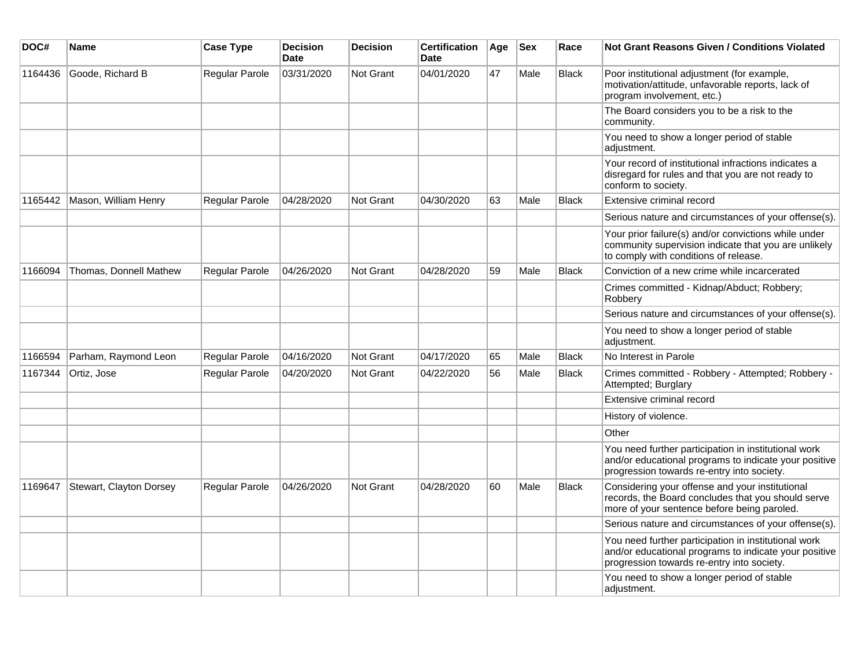| DOC#    | Name                    | <b>Case Type</b>      | <b>Decision</b><br><b>Date</b> | <b>Decision</b>  | <b>Certification</b><br>Date | Age | <b>Sex</b> | Race         | <b>Not Grant Reasons Given / Conditions Violated</b>                                                                                                        |
|---------|-------------------------|-----------------------|--------------------------------|------------------|------------------------------|-----|------------|--------------|-------------------------------------------------------------------------------------------------------------------------------------------------------------|
| 1164436 | Goode, Richard B        | Regular Parole        | 03/31/2020                     | Not Grant        | 04/01/2020                   | 47  | Male       | <b>Black</b> | Poor institutional adjustment (for example,<br>motivation/attitude, unfavorable reports, lack of<br>program involvement, etc.)                              |
|         |                         |                       |                                |                  |                              |     |            |              | The Board considers you to be a risk to the<br>community.                                                                                                   |
|         |                         |                       |                                |                  |                              |     |            |              | You need to show a longer period of stable<br>adjustment.                                                                                                   |
|         |                         |                       |                                |                  |                              |     |            |              | Your record of institutional infractions indicates a<br>disregard for rules and that you are not ready to<br>conform to society.                            |
| 1165442 | Mason, William Henry    | Regular Parole        | 04/28/2020                     | <b>Not Grant</b> | 04/30/2020                   | 63  | Male       | <b>Black</b> | Extensive criminal record                                                                                                                                   |
|         |                         |                       |                                |                  |                              |     |            |              | Serious nature and circumstances of your offense(s).                                                                                                        |
|         |                         |                       |                                |                  |                              |     |            |              | Your prior failure(s) and/or convictions while under<br>community supervision indicate that you are unlikely<br>to comply with conditions of release.       |
| 1166094 | Thomas, Donnell Mathew  | <b>Regular Parole</b> | 04/26/2020                     | Not Grant        | 04/28/2020                   | 59  | Male       | <b>Black</b> | Conviction of a new crime while incarcerated                                                                                                                |
|         |                         |                       |                                |                  |                              |     |            |              | Crimes committed - Kidnap/Abduct; Robbery;<br>Robbery                                                                                                       |
|         |                         |                       |                                |                  |                              |     |            |              | Serious nature and circumstances of your offense(s).                                                                                                        |
|         |                         |                       |                                |                  |                              |     |            |              | You need to show a longer period of stable<br>adjustment.                                                                                                   |
| 1166594 | Parham, Raymond Leon    | Regular Parole        | 04/16/2020                     | Not Grant        | 04/17/2020                   | 65  | Male       | <b>Black</b> | No Interest in Parole                                                                                                                                       |
| 1167344 | Ortiz, Jose             | Regular Parole        | 04/20/2020                     | <b>Not Grant</b> | 04/22/2020                   | 56  | Male       | <b>Black</b> | Crimes committed - Robbery - Attempted; Robbery -<br>Attempted; Burglary                                                                                    |
|         |                         |                       |                                |                  |                              |     |            |              | Extensive criminal record                                                                                                                                   |
|         |                         |                       |                                |                  |                              |     |            |              | History of violence.                                                                                                                                        |
|         |                         |                       |                                |                  |                              |     |            |              | Other                                                                                                                                                       |
|         |                         |                       |                                |                  |                              |     |            |              | You need further participation in institutional work<br>and/or educational programs to indicate your positive<br>progression towards re-entry into society. |
| 1169647 | Stewart, Clayton Dorsey | Regular Parole        | 04/26/2020                     | Not Grant        | 04/28/2020                   | 60  | Male       | <b>Black</b> | Considering your offense and your institutional<br>records, the Board concludes that you should serve<br>more of your sentence before being paroled.        |
|         |                         |                       |                                |                  |                              |     |            |              | Serious nature and circumstances of your offense(s).                                                                                                        |
|         |                         |                       |                                |                  |                              |     |            |              | You need further participation in institutional work<br>and/or educational programs to indicate your positive<br>progression towards re-entry into society. |
|         |                         |                       |                                |                  |                              |     |            |              | You need to show a longer period of stable<br>adjustment.                                                                                                   |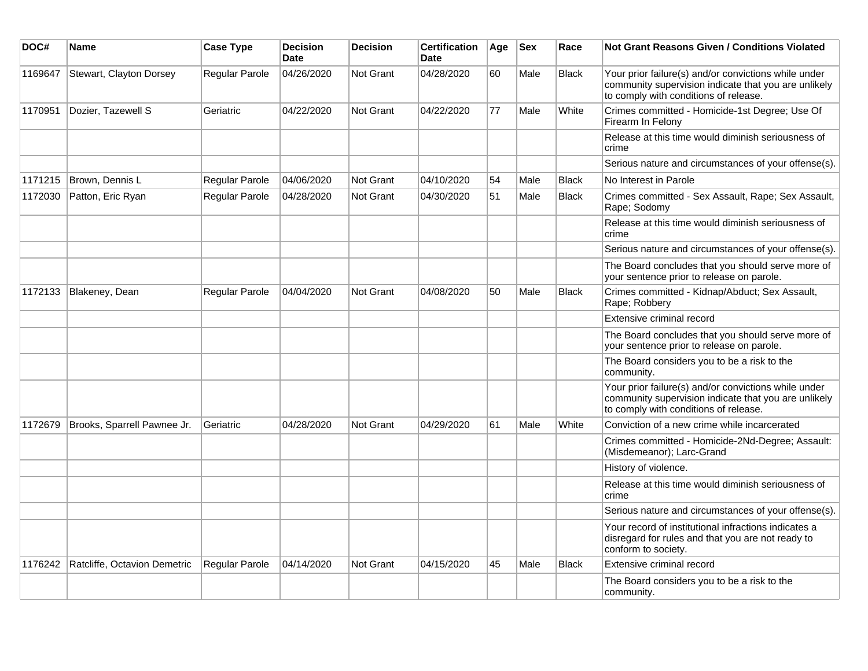| DOC#    | <b>Name</b>                  | <b>Case Type</b>      | <b>Decision</b><br><b>Date</b> | <b>Decision</b>  | <b>Certification</b><br><b>Date</b> | Age | $ $ Sex | Race         | Not Grant Reasons Given / Conditions Violated                                                                                                         |
|---------|------------------------------|-----------------------|--------------------------------|------------------|-------------------------------------|-----|---------|--------------|-------------------------------------------------------------------------------------------------------------------------------------------------------|
| 1169647 | Stewart, Clayton Dorsey      | Regular Parole        | 04/26/2020                     | Not Grant        | 04/28/2020                          | 60  | Male    | <b>Black</b> | Your prior failure(s) and/or convictions while under<br>community supervision indicate that you are unlikely<br>to comply with conditions of release. |
| 1170951 | Dozier, Tazewell S           | Geriatric             | 04/22/2020                     | Not Grant        | 04/22/2020                          | 77  | Male    | White        | Crimes committed - Homicide-1st Degree; Use Of<br>Firearm In Felony                                                                                   |
|         |                              |                       |                                |                  |                                     |     |         |              | Release at this time would diminish seriousness of<br>crime                                                                                           |
|         |                              |                       |                                |                  |                                     |     |         |              | Serious nature and circumstances of your offense(s).                                                                                                  |
| 1171215 | Brown, Dennis L              | Regular Parole        | 04/06/2020                     | Not Grant        | 04/10/2020                          | 54  | Male    | <b>Black</b> | No Interest in Parole                                                                                                                                 |
| 1172030 | Patton, Eric Ryan            | Regular Parole        | 04/28/2020                     | <b>Not Grant</b> | 04/30/2020                          | 51  | Male    | Black        | Crimes committed - Sex Assault, Rape; Sex Assault,<br>Rape: Sodomy                                                                                    |
|         |                              |                       |                                |                  |                                     |     |         |              | Release at this time would diminish seriousness of<br>crime                                                                                           |
|         |                              |                       |                                |                  |                                     |     |         |              | Serious nature and circumstances of your offense(s).                                                                                                  |
|         |                              |                       |                                |                  |                                     |     |         |              | The Board concludes that you should serve more of<br>your sentence prior to release on parole.                                                        |
| 1172133 | Blakeney, Dean               | Regular Parole        | 04/04/2020                     | <b>Not Grant</b> | 04/08/2020                          | 50  | Male    | <b>Black</b> | Crimes committed - Kidnap/Abduct; Sex Assault,<br>Rape; Robbery                                                                                       |
|         |                              |                       |                                |                  |                                     |     |         |              | Extensive criminal record                                                                                                                             |
|         |                              |                       |                                |                  |                                     |     |         |              | The Board concludes that you should serve more of<br>your sentence prior to release on parole.                                                        |
|         |                              |                       |                                |                  |                                     |     |         |              | The Board considers you to be a risk to the<br>community.                                                                                             |
|         |                              |                       |                                |                  |                                     |     |         |              | Your prior failure(s) and/or convictions while under<br>community supervision indicate that you are unlikely<br>to comply with conditions of release. |
| 1172679 | Brooks, Sparrell Pawnee Jr.  | Geriatric             | 04/28/2020                     | <b>Not Grant</b> | 04/29/2020                          | 61  | Male    | White        | Conviction of a new crime while incarcerated                                                                                                          |
|         |                              |                       |                                |                  |                                     |     |         |              | Crimes committed - Homicide-2Nd-Degree; Assault:<br>(Misdemeanor); Larc-Grand                                                                         |
|         |                              |                       |                                |                  |                                     |     |         |              | History of violence.                                                                                                                                  |
|         |                              |                       |                                |                  |                                     |     |         |              | Release at this time would diminish seriousness of<br>crime                                                                                           |
|         |                              |                       |                                |                  |                                     |     |         |              | Serious nature and circumstances of your offense(s).                                                                                                  |
|         |                              |                       |                                |                  |                                     |     |         |              | Your record of institutional infractions indicates a<br>disregard for rules and that you are not ready to<br>conform to society.                      |
| 1176242 | Ratcliffe, Octavion Demetric | <b>Regular Parole</b> | 04/14/2020                     | Not Grant        | 04/15/2020                          | 45  | Male    | <b>Black</b> | Extensive criminal record                                                                                                                             |
|         |                              |                       |                                |                  |                                     |     |         |              | The Board considers you to be a risk to the<br>community.                                                                                             |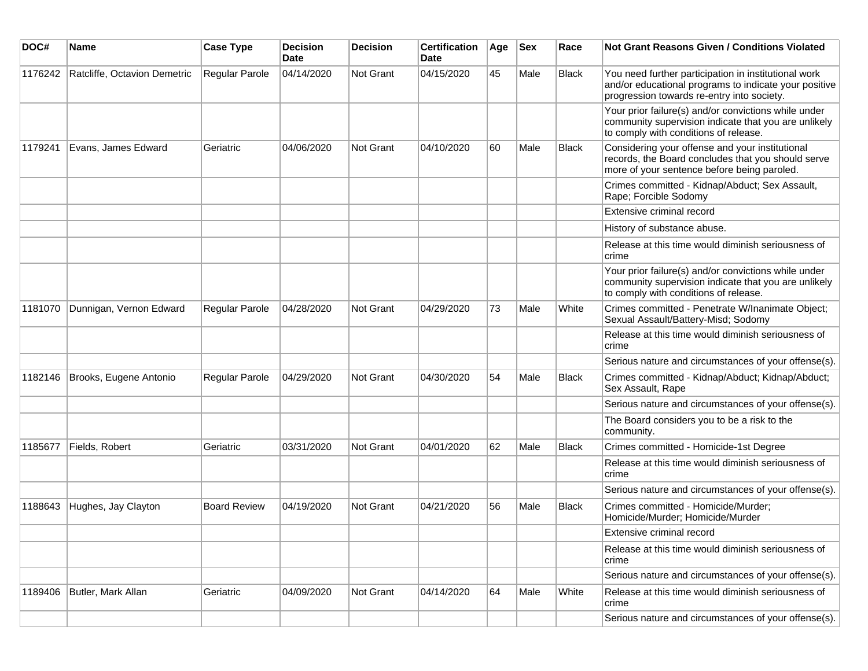| DOC#    | Name                         | <b>Case Type</b>    | <b>Decision</b><br><b>Date</b> | <b>Decision</b> | <b>Certification</b><br>Date | Age | <b>Sex</b> | Race         | <b>Not Grant Reasons Given / Conditions Violated</b>                                                                                                        |
|---------|------------------------------|---------------------|--------------------------------|-----------------|------------------------------|-----|------------|--------------|-------------------------------------------------------------------------------------------------------------------------------------------------------------|
| 1176242 | Ratcliffe, Octavion Demetric | Regular Parole      | 04/14/2020                     | Not Grant       | 04/15/2020                   | 45  | Male       | <b>Black</b> | You need further participation in institutional work<br>and/or educational programs to indicate your positive<br>progression towards re-entry into society. |
|         |                              |                     |                                |                 |                              |     |            |              | Your prior failure(s) and/or convictions while under<br>community supervision indicate that you are unlikely<br>to comply with conditions of release.       |
| 1179241 | Evans, James Edward          | Geriatric           | 04/06/2020                     | Not Grant       | 04/10/2020                   | 60  | Male       | <b>Black</b> | Considering your offense and your institutional<br>records, the Board concludes that you should serve<br>more of your sentence before being paroled.        |
|         |                              |                     |                                |                 |                              |     |            |              | Crimes committed - Kidnap/Abduct; Sex Assault,<br>Rape; Forcible Sodomy                                                                                     |
|         |                              |                     |                                |                 |                              |     |            |              | Extensive criminal record                                                                                                                                   |
|         |                              |                     |                                |                 |                              |     |            |              | History of substance abuse.                                                                                                                                 |
|         |                              |                     |                                |                 |                              |     |            |              | Release at this time would diminish seriousness of<br>crime                                                                                                 |
|         |                              |                     |                                |                 |                              |     |            |              | Your prior failure(s) and/or convictions while under<br>community supervision indicate that you are unlikely<br>to comply with conditions of release.       |
| 1181070 | Dunnigan, Vernon Edward      | Regular Parole      | 04/28/2020                     | Not Grant       | 04/29/2020                   | 73  | Male       | White        | Crimes committed - Penetrate W/Inanimate Object;<br>Sexual Assault/Battery-Misd; Sodomy                                                                     |
|         |                              |                     |                                |                 |                              |     |            |              | Release at this time would diminish seriousness of<br>crime                                                                                                 |
|         |                              |                     |                                |                 |                              |     |            |              | Serious nature and circumstances of your offense(s).                                                                                                        |
| 1182146 | Brooks, Eugene Antonio       | Regular Parole      | 04/29/2020                     | Not Grant       | 04/30/2020                   | 54  | Male       | <b>Black</b> | Crimes committed - Kidnap/Abduct; Kidnap/Abduct;<br>Sex Assault, Rape                                                                                       |
|         |                              |                     |                                |                 |                              |     |            |              | Serious nature and circumstances of your offense(s).                                                                                                        |
|         |                              |                     |                                |                 |                              |     |            |              | The Board considers you to be a risk to the<br>community.                                                                                                   |
| 1185677 | Fields, Robert               | Geriatric           | 03/31/2020                     | Not Grant       | 04/01/2020                   | 62  | Male       | Black        | Crimes committed - Homicide-1st Degree                                                                                                                      |
|         |                              |                     |                                |                 |                              |     |            |              | Release at this time would diminish seriousness of<br>crime                                                                                                 |
|         |                              |                     |                                |                 |                              |     |            |              | Serious nature and circumstances of your offense(s).                                                                                                        |
| 1188643 | Hughes, Jay Clayton          | <b>Board Review</b> | 04/19/2020                     | Not Grant       | 04/21/2020                   | 56  | Male       | <b>Black</b> | Crimes committed - Homicide/Murder;<br>Homicide/Murder; Homicide/Murder                                                                                     |
|         |                              |                     |                                |                 |                              |     |            |              | Extensive criminal record                                                                                                                                   |
|         |                              |                     |                                |                 |                              |     |            |              | Release at this time would diminish seriousness of<br>crime                                                                                                 |
|         |                              |                     |                                |                 |                              |     |            |              | Serious nature and circumstances of your offense(s).                                                                                                        |
| 1189406 | Butler, Mark Allan           | Geriatric           | 04/09/2020                     | Not Grant       | 04/14/2020                   | 64  | Male       | White        | Release at this time would diminish seriousness of<br>crime                                                                                                 |
|         |                              |                     |                                |                 |                              |     |            |              | Serious nature and circumstances of your offense(s).                                                                                                        |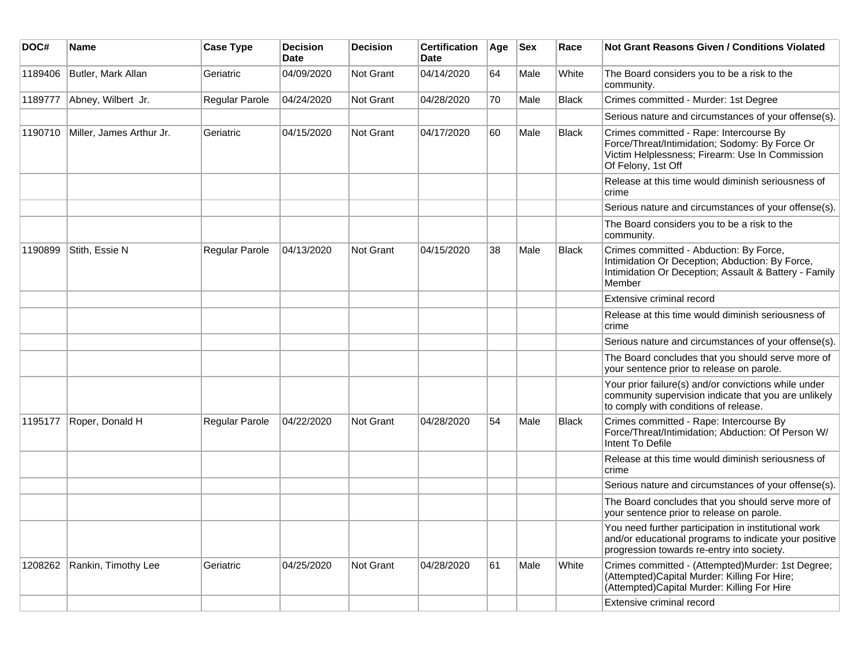| DOC#    | <b>Name</b>              | <b>Case Type</b> | <b>Decision</b><br><b>Date</b> | <b>Decision</b>  | <b>Certification</b><br><b>Date</b> | Age | <b>Sex</b> | Race         | <b>Not Grant Reasons Given / Conditions Violated</b>                                                                                                               |
|---------|--------------------------|------------------|--------------------------------|------------------|-------------------------------------|-----|------------|--------------|--------------------------------------------------------------------------------------------------------------------------------------------------------------------|
| 1189406 | Butler, Mark Allan       | Geriatric        | 04/09/2020                     | Not Grant        | 04/14/2020                          | 64  | Male       | White        | The Board considers you to be a risk to the<br>community.                                                                                                          |
| 1189777 | Abney, Wilbert Jr.       | Regular Parole   | 04/24/2020                     | <b>Not Grant</b> | 04/28/2020                          | 70  | Male       | <b>Black</b> | Crimes committed - Murder: 1st Degree                                                                                                                              |
|         |                          |                  |                                |                  |                                     |     |            |              | Serious nature and circumstances of your offense(s).                                                                                                               |
| 1190710 | Miller, James Arthur Jr. | Geriatric        | 04/15/2020                     | Not Grant        | 04/17/2020                          | 60  | Male       | <b>Black</b> | Crimes committed - Rape: Intercourse By<br>Force/Threat/Intimidation; Sodomy: By Force Or<br>Victim Helplessness; Firearm: Use In Commission<br>Of Felony, 1st Off |
|         |                          |                  |                                |                  |                                     |     |            |              | Release at this time would diminish seriousness of<br>crime                                                                                                        |
|         |                          |                  |                                |                  |                                     |     |            |              | Serious nature and circumstances of your offense(s).                                                                                                               |
|         |                          |                  |                                |                  |                                     |     |            |              | The Board considers you to be a risk to the<br>community.                                                                                                          |
| 1190899 | Stith, Essie N           | Regular Parole   | 04/13/2020                     | Not Grant        | 04/15/2020                          | 38  | Male       | <b>Black</b> | Crimes committed - Abduction: By Force,<br>Intimidation Or Deception; Abduction: By Force,<br>Intimidation Or Deception; Assault & Battery - Family<br>Member      |
|         |                          |                  |                                |                  |                                     |     |            |              | Extensive criminal record                                                                                                                                          |
|         |                          |                  |                                |                  |                                     |     |            |              | Release at this time would diminish seriousness of<br>crime                                                                                                        |
|         |                          |                  |                                |                  |                                     |     |            |              | Serious nature and circumstances of your offense(s).                                                                                                               |
|         |                          |                  |                                |                  |                                     |     |            |              | The Board concludes that you should serve more of<br>your sentence prior to release on parole.                                                                     |
|         |                          |                  |                                |                  |                                     |     |            |              | Your prior failure(s) and/or convictions while under<br>community supervision indicate that you are unlikely<br>to comply with conditions of release.              |
| 1195177 | Roper, Donald H          | Regular Parole   | 04/22/2020                     | Not Grant        | 04/28/2020                          | 54  | Male       | <b>Black</b> | Crimes committed - Rape: Intercourse By<br>Force/Threat/Intimidation; Abduction: Of Person W/<br>Intent To Defile                                                  |
|         |                          |                  |                                |                  |                                     |     |            |              | Release at this time would diminish seriousness of<br>crime                                                                                                        |
|         |                          |                  |                                |                  |                                     |     |            |              | Serious nature and circumstances of your offense(s).                                                                                                               |
|         |                          |                  |                                |                  |                                     |     |            |              | The Board concludes that you should serve more of<br>your sentence prior to release on parole.                                                                     |
|         |                          |                  |                                |                  |                                     |     |            |              | You need further participation in institutional work<br>and/or educational programs to indicate your positive<br>progression towards re-entry into society.        |
| 1208262 | Rankin, Timothy Lee      | Geriatric        | 04/25/2020                     | <b>Not Grant</b> | 04/28/2020                          | 61  | Male       | White        | Crimes committed - (Attempted)Murder: 1st Degree;<br>(Attempted)Capital Murder: Killing For Hire;<br>(Attempted)Capital Murder: Killing For Hire                   |
|         |                          |                  |                                |                  |                                     |     |            |              | Extensive criminal record                                                                                                                                          |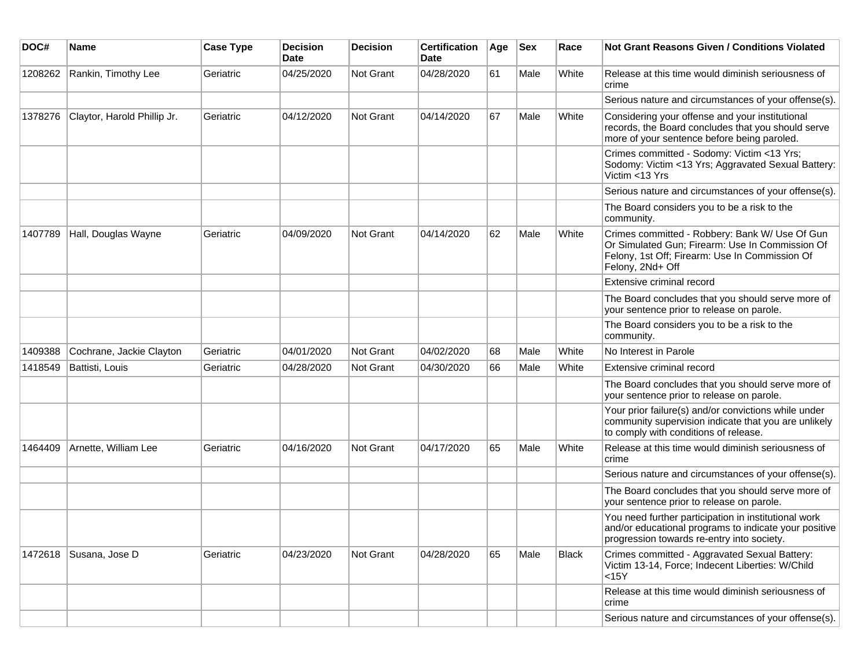| DOC#    | <b>Name</b>                 | <b>Case Type</b> | <b>Decision</b><br>Date | <b>Decision</b>  | <b>Certification</b><br>Date | Age | <b>Sex</b> | Race  | <b>Not Grant Reasons Given / Conditions Violated</b>                                                                                                                    |
|---------|-----------------------------|------------------|-------------------------|------------------|------------------------------|-----|------------|-------|-------------------------------------------------------------------------------------------------------------------------------------------------------------------------|
| 1208262 | Rankin, Timothy Lee         | Geriatric        | 04/25/2020              | Not Grant        | 04/28/2020                   | 61  | Male       | White | Release at this time would diminish seriousness of<br>crime                                                                                                             |
|         |                             |                  |                         |                  |                              |     |            |       | Serious nature and circumstances of your offense(s).                                                                                                                    |
| 1378276 | Claytor, Harold Phillip Jr. | Geriatric        | 04/12/2020              | <b>Not Grant</b> | 04/14/2020                   | 67  | Male       | White | Considering your offense and your institutional<br>records, the Board concludes that you should serve<br>more of your sentence before being paroled.                    |
|         |                             |                  |                         |                  |                              |     |            |       | Crimes committed - Sodomy: Victim <13 Yrs;<br>Sodomy: Victim <13 Yrs; Aggravated Sexual Battery:<br>Victim <13 Yrs                                                      |
|         |                             |                  |                         |                  |                              |     |            |       | Serious nature and circumstances of your offense(s).                                                                                                                    |
|         |                             |                  |                         |                  |                              |     |            |       | The Board considers you to be a risk to the<br>community.                                                                                                               |
| 1407789 | Hall, Douglas Wayne         | Geriatric        | 04/09/2020              | <b>Not Grant</b> | 04/14/2020                   | 62  | Male       | White | Crimes committed - Robbery: Bank W/ Use Of Gun<br>Or Simulated Gun; Firearm: Use In Commission Of<br>Felony, 1st Off; Firearm: Use In Commission Of<br>Felony, 2Nd+ Off |
|         |                             |                  |                         |                  |                              |     |            |       | Extensive criminal record                                                                                                                                               |
|         |                             |                  |                         |                  |                              |     |            |       | The Board concludes that you should serve more of<br>your sentence prior to release on parole.                                                                          |
|         |                             |                  |                         |                  |                              |     |            |       | The Board considers you to be a risk to the<br>community.                                                                                                               |
| 1409388 | Cochrane, Jackie Clayton    | Geriatric        | 04/01/2020              | <b>Not Grant</b> | 04/02/2020                   | 68  | Male       | White | No Interest in Parole                                                                                                                                                   |
| 1418549 | Battisti, Louis             | Geriatric        | 04/28/2020              | <b>Not Grant</b> | 04/30/2020                   | 66  | Male       | White | Extensive criminal record                                                                                                                                               |
|         |                             |                  |                         |                  |                              |     |            |       | The Board concludes that you should serve more of<br>your sentence prior to release on parole.                                                                          |
|         |                             |                  |                         |                  |                              |     |            |       | Your prior failure(s) and/or convictions while under<br>community supervision indicate that you are unlikely<br>to comply with conditions of release.                   |
| 1464409 | Arnette, William Lee        | Geriatric        | 04/16/2020              | <b>Not Grant</b> | 04/17/2020                   | 65  | Male       | White | Release at this time would diminish seriousness of<br>crime                                                                                                             |
|         |                             |                  |                         |                  |                              |     |            |       | Serious nature and circumstances of your offense(s).                                                                                                                    |
|         |                             |                  |                         |                  |                              |     |            |       | The Board concludes that you should serve more of<br>your sentence prior to release on parole.                                                                          |
|         |                             |                  |                         |                  |                              |     |            |       | You need further participation in institutional work<br>and/or educational programs to indicate your positive<br>progression towards re-entry into society.             |
|         | 1472618   Susana, Jose D    | Geriatric        | 04/23/2020              | Not Grant        | 04/28/2020                   | 65  | Male       | Black | Crimes committed - Aggravated Sexual Battery:<br>Victim 13-14, Force; Indecent Liberties: W/Child<br>$15Y$                                                              |
|         |                             |                  |                         |                  |                              |     |            |       | Release at this time would diminish seriousness of<br>crime                                                                                                             |
|         |                             |                  |                         |                  |                              |     |            |       | Serious nature and circumstances of your offense(s).                                                                                                                    |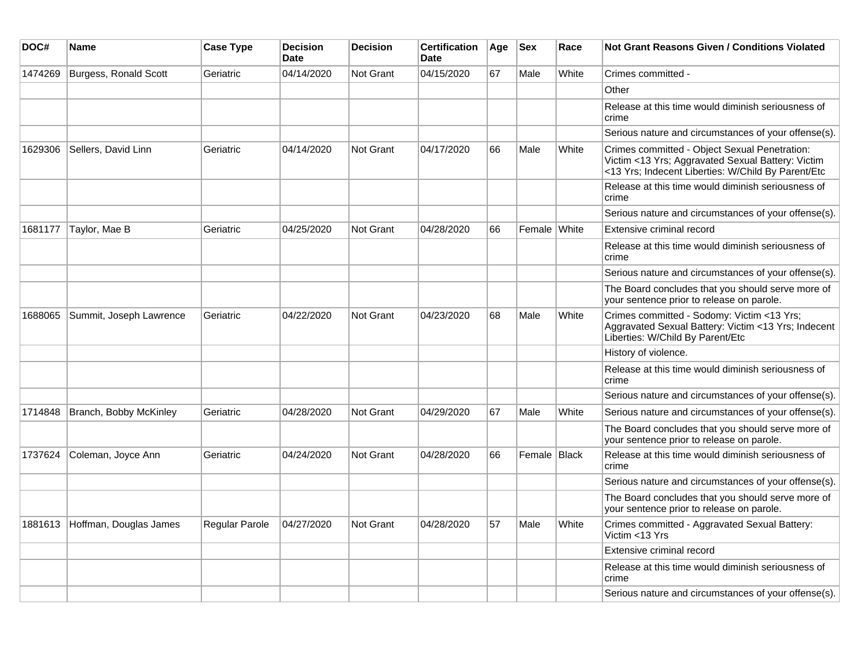| DOC#    | Name                    | <b>Case Type</b>      | <b>Decision</b><br><b>Date</b> | <b>Decision</b>  | <b>Certification</b><br>Date | Age | <b>Sex</b>   | Race  | Not Grant Reasons Given / Conditions Violated                                                                                                            |
|---------|-------------------------|-----------------------|--------------------------------|------------------|------------------------------|-----|--------------|-------|----------------------------------------------------------------------------------------------------------------------------------------------------------|
| 1474269 | Burgess, Ronald Scott   | Geriatric             | 04/14/2020                     | <b>Not Grant</b> | 04/15/2020                   | 67  | Male         | White | Crimes committed -                                                                                                                                       |
|         |                         |                       |                                |                  |                              |     |              |       | Other                                                                                                                                                    |
|         |                         |                       |                                |                  |                              |     |              |       | Release at this time would diminish seriousness of<br>crime                                                                                              |
|         |                         |                       |                                |                  |                              |     |              |       | Serious nature and circumstances of your offense(s).                                                                                                     |
| 1629306 | Sellers, David Linn     | Geriatric             | 04/14/2020                     | <b>Not Grant</b> | 04/17/2020                   | 66  | Male         | White | Crimes committed - Object Sexual Penetration:<br>Victim <13 Yrs; Aggravated Sexual Battery: Victim<br><13 Yrs; Indecent Liberties: W/Child By Parent/Etc |
|         |                         |                       |                                |                  |                              |     |              |       | Release at this time would diminish seriousness of<br>crime                                                                                              |
|         |                         |                       |                                |                  |                              |     |              |       | Serious nature and circumstances of your offense(s).                                                                                                     |
| 1681177 | Taylor, Mae B           | Geriatric             | 04/25/2020                     | <b>Not Grant</b> | 04/28/2020                   | 66  | Female White |       | Extensive criminal record                                                                                                                                |
|         |                         |                       |                                |                  |                              |     |              |       | Release at this time would diminish seriousness of<br>crime                                                                                              |
|         |                         |                       |                                |                  |                              |     |              |       | Serious nature and circumstances of your offense(s).                                                                                                     |
|         |                         |                       |                                |                  |                              |     |              |       | The Board concludes that you should serve more of<br>your sentence prior to release on parole.                                                           |
| 1688065 | Summit, Joseph Lawrence | Geriatric             | 04/22/2020                     | <b>Not Grant</b> | 04/23/2020                   | 68  | Male         | White | Crimes committed - Sodomy: Victim <13 Yrs;<br>Aggravated Sexual Battery: Victim <13 Yrs; Indecent<br>Liberties: W/Child By Parent/Etc                    |
|         |                         |                       |                                |                  |                              |     |              |       | History of violence.                                                                                                                                     |
|         |                         |                       |                                |                  |                              |     |              |       | Release at this time would diminish seriousness of<br>crime                                                                                              |
|         |                         |                       |                                |                  |                              |     |              |       | Serious nature and circumstances of your offense(s).                                                                                                     |
| 1714848 | Branch, Bobby McKinley  | Geriatric             | 04/28/2020                     | Not Grant        | 04/29/2020                   | 67  | Male         | White | Serious nature and circumstances of your offense(s).                                                                                                     |
|         |                         |                       |                                |                  |                              |     |              |       | The Board concludes that you should serve more of<br>your sentence prior to release on parole.                                                           |
| 1737624 | Coleman, Joyce Ann      | Geriatric             | 04/24/2020                     | <b>Not Grant</b> | 04/28/2020                   | 66  | Female Black |       | Release at this time would diminish seriousness of<br>crime                                                                                              |
|         |                         |                       |                                |                  |                              |     |              |       | Serious nature and circumstances of your offense(s).                                                                                                     |
|         |                         |                       |                                |                  |                              |     |              |       | The Board concludes that you should serve more of<br>your sentence prior to release on parole.                                                           |
| 1881613 | Hoffman, Douglas James  | <b>Regular Parole</b> | 04/27/2020                     | Not Grant        | 04/28/2020                   | 57  | Male         | White | Crimes committed - Aggravated Sexual Battery:<br>Victim <13 Yrs                                                                                          |
|         |                         |                       |                                |                  |                              |     |              |       | Extensive criminal record                                                                                                                                |
|         |                         |                       |                                |                  |                              |     |              |       | Release at this time would diminish seriousness of<br>crime                                                                                              |
|         |                         |                       |                                |                  |                              |     |              |       | Serious nature and circumstances of your offense(s).                                                                                                     |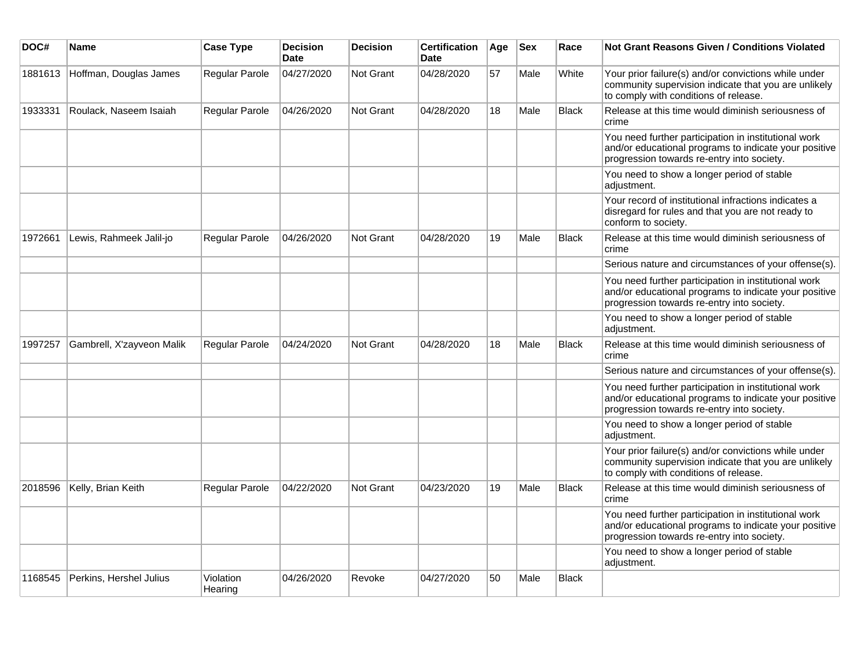| DOC#    | <b>Name</b>               | <b>Case Type</b>     | <b>Decision</b><br><b>Date</b> | <b>Decision</b>  | <b>Certification</b><br><b>Date</b> | Age | <b>Sex</b> | Race         | <b>Not Grant Reasons Given / Conditions Violated</b>                                                                                                        |
|---------|---------------------------|----------------------|--------------------------------|------------------|-------------------------------------|-----|------------|--------------|-------------------------------------------------------------------------------------------------------------------------------------------------------------|
| 1881613 | Hoffman, Douglas James    | Regular Parole       | 04/27/2020                     | <b>Not Grant</b> | 04/28/2020                          | 57  | Male       | White        | Your prior failure(s) and/or convictions while under<br>community supervision indicate that you are unlikely<br>to comply with conditions of release.       |
| 1933331 | Roulack, Naseem Isaiah    | Regular Parole       | 04/26/2020                     | Not Grant        | 04/28/2020                          | 18  | Male       | <b>Black</b> | Release at this time would diminish seriousness of<br>crime                                                                                                 |
|         |                           |                      |                                |                  |                                     |     |            |              | You need further participation in institutional work<br>and/or educational programs to indicate your positive<br>progression towards re-entry into society. |
|         |                           |                      |                                |                  |                                     |     |            |              | You need to show a longer period of stable<br>adjustment.                                                                                                   |
|         |                           |                      |                                |                  |                                     |     |            |              | Your record of institutional infractions indicates a<br>disregard for rules and that you are not ready to<br>conform to society.                            |
| 1972661 | Lewis, Rahmeek Jalil-jo   | Regular Parole       | 04/26/2020                     | Not Grant        | 04/28/2020                          | 19  | Male       | <b>Black</b> | Release at this time would diminish seriousness of<br>crime                                                                                                 |
|         |                           |                      |                                |                  |                                     |     |            |              | Serious nature and circumstances of your offense(s).                                                                                                        |
|         |                           |                      |                                |                  |                                     |     |            |              | You need further participation in institutional work<br>and/or educational programs to indicate your positive<br>progression towards re-entry into society. |
|         |                           |                      |                                |                  |                                     |     |            |              | You need to show a longer period of stable<br>adjustment.                                                                                                   |
| 1997257 | Gambrell, X'zayveon Malik | Regular Parole       | 04/24/2020                     | Not Grant        | 04/28/2020                          | 18  | Male       | <b>Black</b> | Release at this time would diminish seriousness of<br>crime                                                                                                 |
|         |                           |                      |                                |                  |                                     |     |            |              | Serious nature and circumstances of your offense(s).                                                                                                        |
|         |                           |                      |                                |                  |                                     |     |            |              | You need further participation in institutional work<br>and/or educational programs to indicate your positive<br>progression towards re-entry into society. |
|         |                           |                      |                                |                  |                                     |     |            |              | You need to show a longer period of stable<br>adjustment.                                                                                                   |
|         |                           |                      |                                |                  |                                     |     |            |              | Your prior failure(s) and/or convictions while under<br>community supervision indicate that you are unlikely<br>to comply with conditions of release.       |
| 2018596 | Kelly, Brian Keith        | Regular Parole       | 04/22/2020                     | <b>Not Grant</b> | 04/23/2020                          | 19  | Male       | <b>Black</b> | Release at this time would diminish seriousness of<br>crime                                                                                                 |
|         |                           |                      |                                |                  |                                     |     |            |              | You need further participation in institutional work<br>and/or educational programs to indicate your positive<br>progression towards re-entry into society. |
|         |                           |                      |                                |                  |                                     |     |            |              | You need to show a longer period of stable<br>adjustment.                                                                                                   |
| 1168545 | Perkins, Hershel Julius   | Violation<br>Hearing | 04/26/2020                     | Revoke           | 04/27/2020                          | 50  | Male       | <b>Black</b> |                                                                                                                                                             |